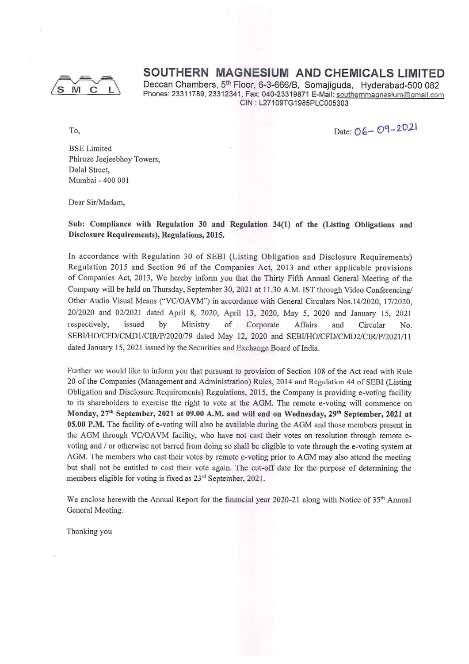

Deccan Chambers, 5<sup>th</sup> Floor, 6-3-666/B, Somajiguda, Hyderabad-500 082 Phones: 23311789, 23312341, Fax: 040-23319871 E-Mail: southernmagnesium@gmail.com CIN : L27109TG1985PLC005303

Date: 06-09-2021

To,

BSE Limited Phiroze Jeejeebhoy Towers, Dalal Street, Mumbai - 400 001

Dear Sir/Madam,

Sub: Compliance with Regulation 30 and Regulation 34(1) of the (Listing Obligations and Disclosure Requirements), Regulations, 2015.

In accordance with Regulation 30 of SEBI (Listing Obligation and Disclosure Requirements) Regulation <sup>2015</sup> and Section 96 of the Companies Act, <sup>2013</sup> and other applicable provisions of Companies Act, 2013, We hereby inform you that the Thirty Fifth Annual General Meeting of the Company will be held on Thursday, September 30, <sup>2021</sup> at 11.30 A.M. 1ST through Video Conferencing/ Other Audio Visual Means ("VC/OAVM") in accordance with General Circulars Nos.14/2020, 17/2020, 20/2020 and 02/2021 dated April 8, 2020, April 13, 2020, May 5, 2020 and January 15, <sup>2021</sup> respectively, issued by Ministry of Corporate Affairs and Circular No. SEBVHO/CFD/CMDJ/CIR/P/2020/79 dated May 12, 2020 and SEBVHO/CFD/CMD2/CIR/P/2021/1 I dated January 15, <sup>2021</sup> issued by the Securities and Exchange Board of India.

Further we would like to inform you that pursuant to provision of Section 108 of the Act read with Rule 20 of the Companies (Management and Administration) Rules, 2014 and Regulation 44 of SEBI (Listing Obligation and Disclosure Requirements) Regulations, 2015, the Company is providing e-voting facility to its shareholders to exercise the right to vote at the AGM. The remote e-voting will commence on Monday, 27<sup>th</sup> September, 2021 at 09.00 A.M. and will end on Wednesday, 29<sup>th</sup> September, 2021 at 05.00 P.M. The facility of e-voting will also be available during the AGM and those members present in the AGM through VC/OAVM facility, who have not cast their votes on resolution through remote evoting and / or otherwise not barred from doing so shall be eligible to vote through the e-voting system at AGM. The members who cast their votes by remote e-voting prior to AGM may also attend the meeting but shall not be entitled to cast their vote again. The cut-off date for the purpose of determining the members eligible for voting is fixed as 23rd September, 2021.

We enclose herewith the Annual Report for the financial year 2020-21 along with Notice of 35<sup>th</sup> Annual General Meeting.

Thanking you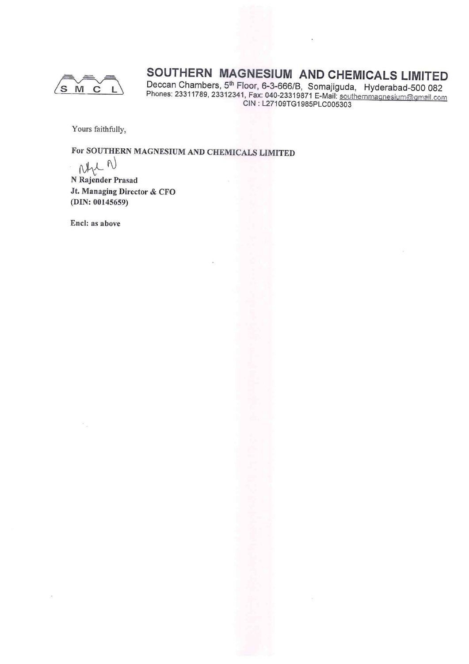

Deccan Chambers, 5<sup>th</sup> Floor, 6-3-666/B, Somajiguda, Hyderabad-500 08 Phones: 23311789, 23312341, Fax: 040-23319871 E-Mail: southernmagnesium@gmail.com CIN : L27109TG1985PLC005303

Yours faithfully,

# For SOUTHERN MAGNESIUM AND CHEMICALS LIMITED

 $N$ 

N Rajender Prasa Jt. Managing Director & CFO (DIN: 00145659)

Encl: as above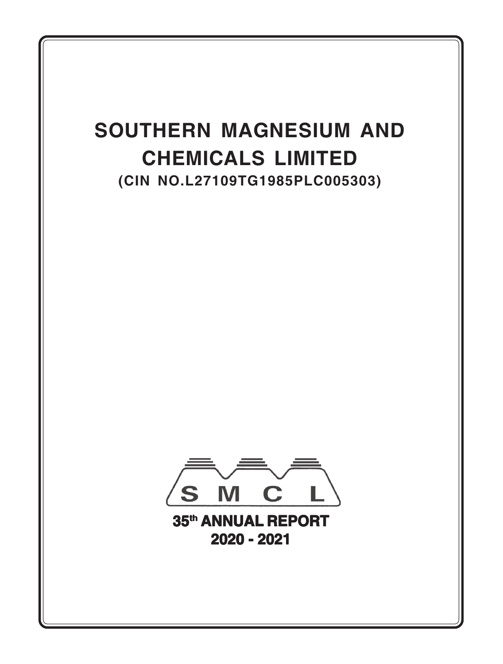# **SOUTHERN MAGNESIUM AND CHEMICALS LIMITED (CIN NO.L27109TG1985PLC005303)**



**35th ANNUAL REPORT 2020 - 2021**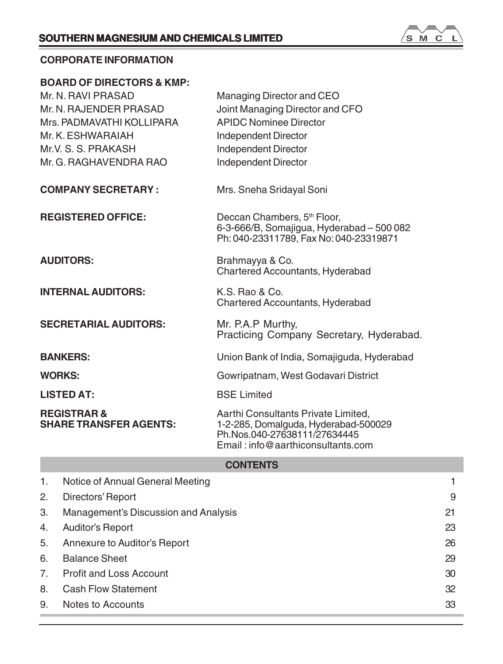

# **CORPORATE INFORMATION**

|                           | <b>BOARD OF DIRECTORS &amp; KMP:</b>                    |                                                                                                                                                  |    |
|---------------------------|---------------------------------------------------------|--------------------------------------------------------------------------------------------------------------------------------------------------|----|
|                           | Mr. N. RAVI PRASAD                                      | Managing Director and CEO                                                                                                                        |    |
| Mr. N. RAJENDER PRASAD    |                                                         | Joint Managing Director and CFO                                                                                                                  |    |
| Mrs. PADMAVATHI KOLLIPARA |                                                         | <b>APIDC Nominee Director</b>                                                                                                                    |    |
|                           | Mr. K. ESHWARAIAH                                       | Independent Director                                                                                                                             |    |
|                           | Mr.V. S. S. PRAKASH                                     | Independent Director                                                                                                                             |    |
|                           | Mr. G. RAGHAVENDRA RAO                                  | Independent Director                                                                                                                             |    |
|                           | <b>COMPANY SECRETARY:</b>                               | Mrs. Sneha Sridayal Soni                                                                                                                         |    |
|                           | <b>REGISTERED OFFICE:</b>                               | Deccan Chambers, 5 <sup>th</sup> Floor,<br>6-3-666/B, Somajigua, Hyderabad - 500 082<br>Ph: 040-23311789, Fax No: 040-23319871                   |    |
|                           | <b>AUDITORS:</b>                                        | Brahmayya & Co.<br>Chartered Accountants, Hyderabad                                                                                              |    |
|                           | <b>INTERNAL AUDITORS:</b>                               | K.S. Rao & Co.<br>Chartered Accountants, Hyderabad                                                                                               |    |
|                           | <b>SECRETARIAL AUDITORS:</b>                            | Mr. P.A.P Murthy,<br>Practicing Company Secretary, Hyderabad.                                                                                    |    |
|                           | <b>BANKERS:</b>                                         | Union Bank of India, Somajiguda, Hyderabad                                                                                                       |    |
| <b>WORKS:</b>             |                                                         | Gowripatnam, West Godavari District                                                                                                              |    |
|                           | <b>LISTED AT:</b>                                       | <b>BSE Limited</b>                                                                                                                               |    |
|                           | <b>REGISTRAR &amp;</b><br><b>SHARE TRANSFER AGENTS:</b> | Aarthi Consultants Private Limited,<br>1-2-285, Domalguda, Hyderabad-500029<br>Ph.Nos.040-27638111/27634445<br>Email: info@aarthiconsultants.com |    |
|                           |                                                         | <b>CONTENTS</b>                                                                                                                                  |    |
| 1.                        | Notice of Annual General Meeting                        |                                                                                                                                                  | 1. |
| 2.                        | Directors' Report                                       |                                                                                                                                                  | 9  |
| 3.                        | Management's Discussion and Analysis                    |                                                                                                                                                  | 21 |
| 4.                        | <b>Auditor's Report</b>                                 |                                                                                                                                                  | 23 |

5. Annexure to Auditor's Report 26 6. Balance Sheet 29 7. Profit and Loss Account 30 and 30 and 30 and 30 and 30 and 30 and 30 and 30 and 30 and 30 and 30 and 30 and 30 and 30 and 30 and 30 and 30 and 30 and 30 and 30 and 30 and 30 and 30 and 30 and 30 and 30 and 30 and 30 and 8. Cash Flow Statement 32 9. Notes to Accounts 33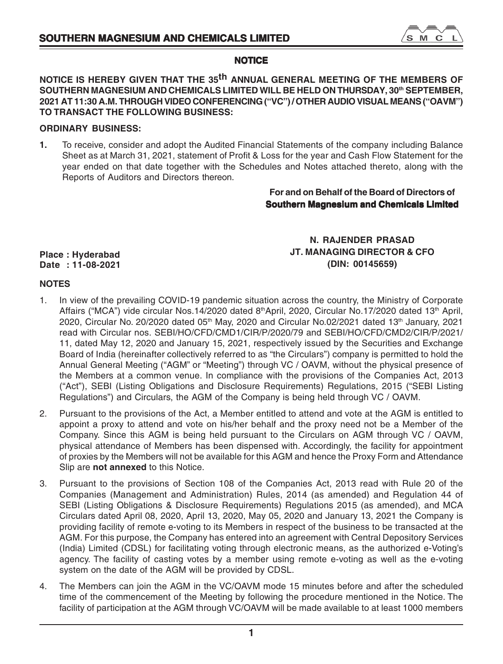

# **NOTICE**

**NOTICE IS HEREBY GIVEN THAT THE 35th ANNUAL GENERAL MEETING OF THE MEMBERS OF SOUTHERN MAGNESIUM AND CHEMICALS LIMITED WILL BE HELD ON THURSDAY, 30th SEPTEMBER, 2021 AT 11:30 A.M. THROUGH VIDEO CONFERENCING ("VC") / OTHER AUDIO VISUAL MEANS ("OAVM") TO TRANSACT THE FOLLOWING BUSINESS:**

# **ORDINARY BUSINESS:**

**1.** To receive, consider and adopt the Audited Financial Statements of the company including Balance Sheet as at March 31, 2021, statement of Profit & Loss for the year and Cash Flow Statement for the year ended on that date together with the Schedules and Notes attached thereto, along with the Reports of Auditors and Directors thereon.

# **For and on Behalf of the Board of Directors of Southern Magnesium and Chemicals Limited**

# **Place : Hyderabad Date : 11-08-2021**

**N. RAJENDER PRASAD JT. MANAGING DIRECTOR & CFO (DIN: 00145659)**

# **NOTES**

- 1. In view of the prevailing COVID-19 pandemic situation across the country, the Ministry of Corporate Affairs ("MCA") vide circular Nos.14/2020 dated 8<sup>th</sup>April, 2020, Circular No.17/2020 dated 13<sup>th</sup> April, 2020, Circular No. 20/2020 dated 05<sup>th</sup> May, 2020 and Circular No.02/2021 dated 13<sup>th</sup> January, 2021 read with Circular nos. SEBI/HO/CFD/CMD1/CIR/P/2020/79 and SEBI/HO/CFD/CMD2/CIR/P/2021/ 11, dated May 12, 2020 and January 15, 2021, respectively issued by the Securities and Exchange Board of India (hereinafter collectively referred to as "the Circulars") company is permitted to hold the Annual General Meeting ("AGM" or "Meeting") through VC / OAVM, without the physical presence of the Members at a common venue. In compliance with the provisions of the Companies Act, 2013 ("Act"), SEBI (Listing Obligations and Disclosure Requirements) Regulations, 2015 ("SEBI Listing Regulations") and Circulars, the AGM of the Company is being held through VC / OAVM.
- 2. Pursuant to the provisions of the Act, a Member entitled to attend and vote at the AGM is entitled to appoint a proxy to attend and vote on his/her behalf and the proxy need not be a Member of the Company. Since this AGM is being held pursuant to the Circulars on AGM through VC / OAVM, physical attendance of Members has been dispensed with. Accordingly, the facility for appointment of proxies by the Members will not be available for this AGM and hence the Proxy Form and Attendance Slip are **not annexed** to this Notice.
- 3. Pursuant to the provisions of Section 108 of the Companies Act, 2013 read with Rule 20 of the Companies (Management and Administration) Rules, 2014 (as amended) and Regulation 44 of SEBI (Listing Obligations & Disclosure Requirements) Regulations 2015 (as amended), and MCA Circulars dated April 08, 2020, April 13, 2020, May 05, 2020 and January 13, 2021 the Company is providing facility of remote e-voting to its Members in respect of the business to be transacted at the AGM. For this purpose, the Company has entered into an agreement with Central Depository Services (India) Limited (CDSL) for facilitating voting through electronic means, as the authorized e-Voting's agency. The facility of casting votes by a member using remote e-voting as well as the e-voting system on the date of the AGM will be provided by CDSL.
- 4. The Members can join the AGM in the VC/OAVM mode 15 minutes before and after the scheduled time of the commencement of the Meeting by following the procedure mentioned in the Notice. The facility of participation at the AGM through VC/OAVM will be made available to at least 1000 members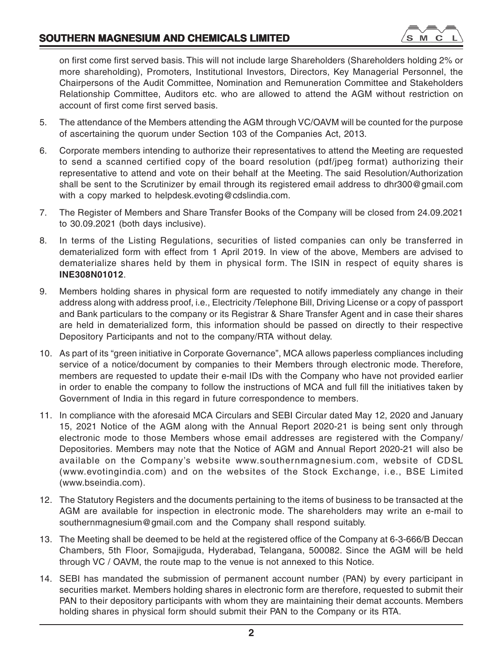on first come first served basis. This will not include large Shareholders (Shareholders holding 2% or more shareholding), Promoters, Institutional Investors, Directors, Key Managerial Personnel, the Chairpersons of the Audit Committee, Nomination and Remuneration Committee and Stakeholders Relationship Committee, Auditors etc. who are allowed to attend the AGM without restriction on account of first come first served basis.

- 5. The attendance of the Members attending the AGM through VC/OAVM will be counted for the purpose of ascertaining the quorum under Section 103 of the Companies Act, 2013.
- 6. Corporate members intending to authorize their representatives to attend the Meeting are requested to send a scanned certified copy of the board resolution (pdf/jpeg format) authorizing their representative to attend and vote on their behalf at the Meeting. The said Resolution/Authorization shall be sent to the Scrutinizer by email through its registered email address to dhr300@gmail.com with a copy marked to helpdesk.evoting@cdslindia.com.
- 7. The Register of Members and Share Transfer Books of the Company will be closed from 24.09.2021 to 30.09.2021 (both days inclusive).
- 8. In terms of the Listing Regulations, securities of listed companies can only be transferred in dematerialized form with effect from 1 April 2019. In view of the above, Members are advised to dematerialize shares held by them in physical form. The ISIN in respect of equity shares is **INE308N01012**.
- 9. Members holding shares in physical form are requested to notify immediately any change in their address along with address proof, i.e., Electricity /Telephone Bill, Driving License or a copy of passport and Bank particulars to the company or its Registrar & Share Transfer Agent and in case their shares are held in dematerialized form, this information should be passed on directly to their respective Depository Participants and not to the company/RTA without delay.
- 10. As part of its "green initiative in Corporate Governance", MCA allows paperless compliances including service of a notice/document by companies to their Members through electronic mode. Therefore, members are requested to update their e-mail IDs with the Company who have not provided earlier in order to enable the company to follow the instructions of MCA and full fill the initiatives taken by Government of India in this regard in future correspondence to members.
- 11. In compliance with the aforesaid MCA Circulars and SEBI Circular dated May 12, 2020 and January 15, 2021 Notice of the AGM along with the Annual Report 2020-21 is being sent only through electronic mode to those Members whose email addresses are registered with the Company/ Depositories. Members may note that the Notice of AGM and Annual Report 2020-21 will also be available on the Company's website www.southernmagnesium.com, website of CDSL (www.evotingindia.com) and on the websites of the Stock Exchange, i.e., BSE Limited (www.bseindia.com).
- 12. The Statutory Registers and the documents pertaining to the items of business to be transacted at the AGM are available for inspection in electronic mode. The shareholders may write an e-mail to southernmagnesium@gmail.com and the Company shall respond suitably.
- 13. The Meeting shall be deemed to be held at the registered office of the Company at 6-3-666/B Deccan Chambers, 5th Floor, Somajiguda, Hyderabad, Telangana, 500082. Since the AGM will be held through VC / OAVM, the route map to the venue is not annexed to this Notice.
- 14. SEBI has mandated the submission of permanent account number (PAN) by every participant in securities market. Members holding shares in electronic form are therefore, requested to submit their PAN to their depository participants with whom they are maintaining their demat accounts. Members holding shares in physical form should submit their PAN to the Company or its RTA.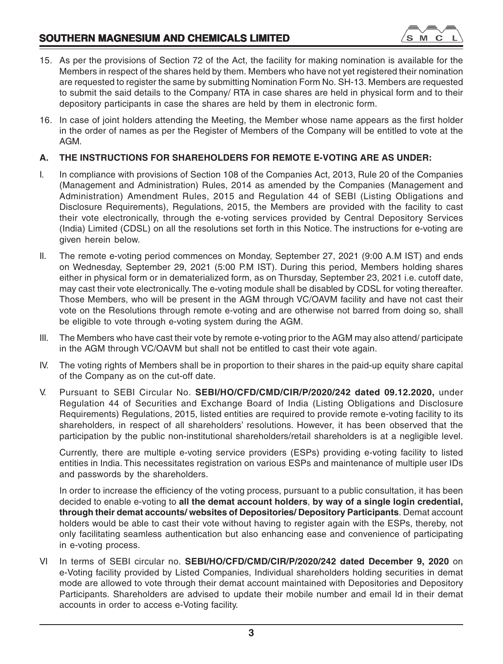

- 15. As per the provisions of Section 72 of the Act, the facility for making nomination is available for the Members in respect of the shares held by them. Members who have not yet registered their nomination are requested to register the same by submitting Nomination Form No. SH-13. Members are requested to submit the said details to the Company/ RTA in case shares are held in physical form and to their depository participants in case the shares are held by them in electronic form.
- 16. In case of joint holders attending the Meeting, the Member whose name appears as the first holder in the order of names as per the Register of Members of the Company will be entitled to vote at the AGM.

# **A. THE INSTRUCTIONS FOR SHAREHOLDERS FOR REMOTE E-VOTING ARE AS UNDER:**

- I. In compliance with provisions of Section 108 of the Companies Act, 2013, Rule 20 of the Companies (Management and Administration) Rules, 2014 as amended by the Companies (Management and Administration) Amendment Rules, 2015 and Regulation 44 of SEBI (Listing Obligations and Disclosure Requirements), Regulations, 2015, the Members are provided with the facility to cast their vote electronically, through the e-voting services provided by Central Depository Services (India) Limited (CDSL) on all the resolutions set forth in this Notice. The instructions for e-voting are given herein below.
- II. The remote e-voting period commences on Monday, September 27, 2021 (9:00 A.M IST) and ends on Wednesday, September 29, 2021 (5:00 P.M IST). During this period, Members holding shares either in physical form or in dematerialized form, as on Thursday, September 23, 2021 i.e. cutoff date, may cast their vote electronically. The e-voting module shall be disabled by CDSL for voting thereafter. Those Members, who will be present in the AGM through VC/OAVM facility and have not cast their vote on the Resolutions through remote e-voting and are otherwise not barred from doing so, shall be eligible to vote through e-voting system during the AGM.
- III. The Members who have cast their vote by remote e-voting prior to the AGM may also attend/ participate in the AGM through VC/OAVM but shall not be entitled to cast their vote again.
- IV. The voting rights of Members shall be in proportion to their shares in the paid-up equity share capital of the Company as on the cut-off date.
- V. Pursuant to SEBI Circular No. **SEBI/HO/CFD/CMD/CIR/P/2020/242 dated 09.12.2020,** under Regulation 44 of Securities and Exchange Board of India (Listing Obligations and Disclosure Requirements) Regulations, 2015, listed entities are required to provide remote e-voting facility to its shareholders, in respect of all shareholders' resolutions. However, it has been observed that the participation by the public non-institutional shareholders/retail shareholders is at a negligible level.

Currently, there are multiple e-voting service providers (ESPs) providing e-voting facility to listed entities in India. This necessitates registration on various ESPs and maintenance of multiple user IDs and passwords by the shareholders.

In order to increase the efficiency of the voting process, pursuant to a public consultation, it has been decided to enable e-voting to **all the demat account holders**, **by way of a single login credential, through their demat accounts/ websites of Depositories/ Depository Participants**. Demat account holders would be able to cast their vote without having to register again with the ESPs, thereby, not only facilitating seamless authentication but also enhancing ease and convenience of participating in e-voting process.

VI In terms of SEBI circular no. **SEBI/HO/CFD/CMD/CIR/P/2020/242 dated December 9, 2020** on e-Voting facility provided by Listed Companies, Individual shareholders holding securities in demat mode are allowed to vote through their demat account maintained with Depositories and Depository Participants. Shareholders are advised to update their mobile number and email Id in their demat accounts in order to access e-Voting facility.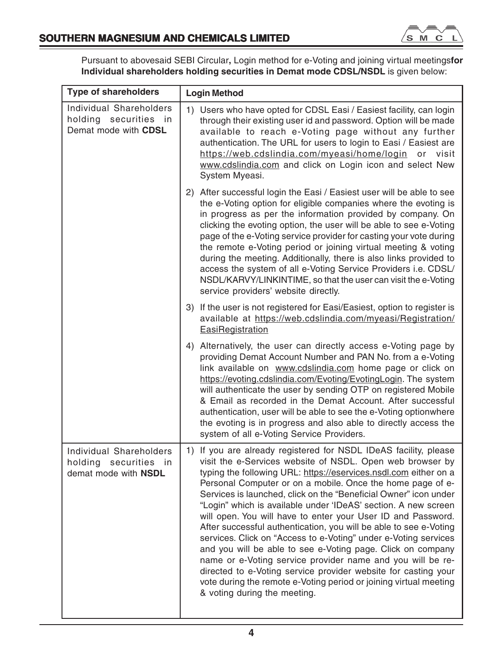

Pursuant to abovesaid SEBI Circular**,** Login method for e-Voting and joining virtual meetings**for Individual shareholders holding securities in Demat mode CDSL/NSDL** is given below:

| <b>Type of shareholders</b>                                              | <b>Login Method</b>                                                                                                                                                                                                                                                                                                                                                                                                                                                                                                                                                                                                                                                                                                                                                                                                                                                                                                  |  |  |
|--------------------------------------------------------------------------|----------------------------------------------------------------------------------------------------------------------------------------------------------------------------------------------------------------------------------------------------------------------------------------------------------------------------------------------------------------------------------------------------------------------------------------------------------------------------------------------------------------------------------------------------------------------------------------------------------------------------------------------------------------------------------------------------------------------------------------------------------------------------------------------------------------------------------------------------------------------------------------------------------------------|--|--|
| Individual Shareholders<br>holding securities in<br>Demat mode with CDSL | 1) Users who have opted for CDSL Easi / Easiest facility, can login<br>through their existing user id and password. Option will be made<br>available to reach e-Voting page without any further<br>authentication. The URL for users to login to Easi / Easiest are<br>https://web.cdslindia.com/myeasi/home/login or visit<br>www.cdslindia.com and click on Login icon and select New<br>System Myeasi.                                                                                                                                                                                                                                                                                                                                                                                                                                                                                                            |  |  |
|                                                                          | 2) After successful login the Easi / Easiest user will be able to see<br>the e-Voting option for eligible companies where the evoting is<br>in progress as per the information provided by company. On<br>clicking the evoting option, the user will be able to see e-Voting<br>page of the e-Voting service provider for casting your vote during<br>the remote e-Voting period or joining virtual meeting & voting<br>during the meeting. Additionally, there is also links provided to<br>access the system of all e-Voting Service Providers i.e. CDSL/<br>NSDL/KARVY/LINKINTIME, so that the user can visit the e-Voting<br>service providers' website directly.                                                                                                                                                                                                                                                |  |  |
|                                                                          | 3) If the user is not registered for Easi/Easiest, option to register is<br>available at https://web.cdslindia.com/myeasi/Registration/<br>EasiRegistration                                                                                                                                                                                                                                                                                                                                                                                                                                                                                                                                                                                                                                                                                                                                                          |  |  |
|                                                                          | 4) Alternatively, the user can directly access e-Voting page by<br>providing Demat Account Number and PAN No. from a e-Voting<br>link available on www.cdslindia.com home page or click on<br>https://evoting.cdslindia.com/Evoting/EvotingLogin. The system<br>will authenticate the user by sending OTP on registered Mobile<br>& Email as recorded in the Demat Account. After successful<br>authentication, user will be able to see the e-Voting optionwhere<br>the evoting is in progress and also able to directly access the<br>system of all e-Voting Service Providers.                                                                                                                                                                                                                                                                                                                                    |  |  |
| Individual Shareholders<br>holding securities in<br>demat mode with NSDL | If you are already registered for NSDL IDeAS facility, please<br>1)<br>visit the e-Services website of NSDL. Open web browser by<br>typing the following URL: https://eservices.nsdl.com either on a<br>Personal Computer or on a mobile. Once the home page of e-<br>Services is launched, click on the "Beneficial Owner" icon under<br>"Login" which is available under 'IDeAS' section. A new screen<br>will open. You will have to enter your User ID and Password.<br>After successful authentication, you will be able to see e-Voting<br>services. Click on "Access to e-Voting" under e-Voting services<br>and you will be able to see e-Voting page. Click on company<br>name or e-Voting service provider name and you will be re-<br>directed to e-Voting service provider website for casting your<br>vote during the remote e-Voting period or joining virtual meeting<br>& voting during the meeting. |  |  |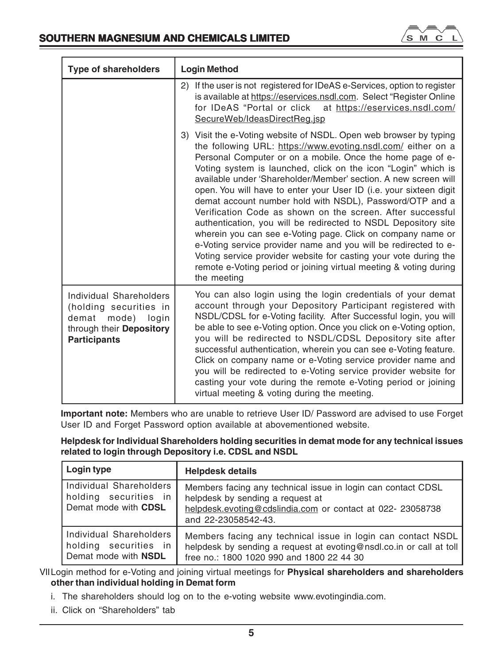

| <b>Type of shareholders</b>                                                                                                     | <b>Login Method</b>                                                                                                                                                                                                                                                                                                                                                                                                                                                                                                                                                                                                                                                                                                                                                                                                                                                                             |
|---------------------------------------------------------------------------------------------------------------------------------|-------------------------------------------------------------------------------------------------------------------------------------------------------------------------------------------------------------------------------------------------------------------------------------------------------------------------------------------------------------------------------------------------------------------------------------------------------------------------------------------------------------------------------------------------------------------------------------------------------------------------------------------------------------------------------------------------------------------------------------------------------------------------------------------------------------------------------------------------------------------------------------------------|
|                                                                                                                                 | 2) If the user is not registered for IDeAS e-Services, option to register<br>is available at https://eservices.nsdl.com. Select "Register Online"<br>for IDeAS "Portal or click at https://eservices.nsdl.com/<br>SecureWeb/IdeasDirectReg.jsp                                                                                                                                                                                                                                                                                                                                                                                                                                                                                                                                                                                                                                                  |
|                                                                                                                                 | 3) Visit the e-Voting website of NSDL. Open web browser by typing<br>the following URL: https://www.evoting.nsdl.com/ either on a<br>Personal Computer or on a mobile. Once the home page of e-<br>Voting system is launched, click on the icon "Login" which is<br>available under 'Shareholder/Member' section. A new screen will<br>open. You will have to enter your User ID (i.e. your sixteen digit<br>demat account number hold with NSDL), Password/OTP and a<br>Verification Code as shown on the screen. After successful<br>authentication, you will be redirected to NSDL Depository site<br>wherein you can see e-Voting page. Click on company name or<br>e-Voting service provider name and you will be redirected to e-<br>Voting service provider website for casting your vote during the<br>remote e-Voting period or joining virtual meeting & voting during<br>the meeting |
| Individual Shareholders<br>(holding securities in<br>mode)<br>demat<br>login<br>through their Depository<br><b>Participants</b> | You can also login using the login credentials of your demat<br>account through your Depository Participant registered with<br>NSDL/CDSL for e-Voting facility. After Successful login, you will<br>be able to see e-Voting option. Once you click on e-Voting option,<br>you will be redirected to NSDL/CDSL Depository site after<br>successful authentication, wherein you can see e-Voting feature.<br>Click on company name or e-Voting service provider name and<br>you will be redirected to e-Voting service provider website for<br>casting your vote during the remote e-Voting period or joining<br>virtual meeting & voting during the meeting.                                                                                                                                                                                                                                     |

**Important note:** Members who are unable to retrieve User ID/ Password are advised to use Forget User ID and Forget Password option available at abovementioned website.

| Helpdesk for Individual Shareholders holding securities in demat mode for any technical issues |
|------------------------------------------------------------------------------------------------|
| related to login through Depository i.e. CDSL and NSDL                                         |

| Login type                                                               | <b>Helpdesk details</b>                                                                                                                                                               |
|--------------------------------------------------------------------------|---------------------------------------------------------------------------------------------------------------------------------------------------------------------------------------|
| Individual Shareholders<br>holding securities in<br>Demat mode with CDSL | Members facing any technical issue in login can contact CDSL<br>helpdesk by sending a request at<br>helpdesk.evoting@cdslindia.com or contact at 022- 23058738<br>and 22-23058542-43. |
| Individual Shareholders<br>holding securities in<br>Demat mode with NSDL | Members facing any technical issue in login can contact NSDL<br>helpdesk by sending a request at evoting@nsdl.co.in or call at toll<br>free no.: 1800 1020 990 and 1800 22 44 30      |

VIILogin method for e-Voting and joining virtual meetings for **Physical shareholders and shareholders other than individual holding in Demat form**

- i. The shareholders should log on to the e-voting website www.evotingindia.com.
- ii. Click on "Shareholders" tab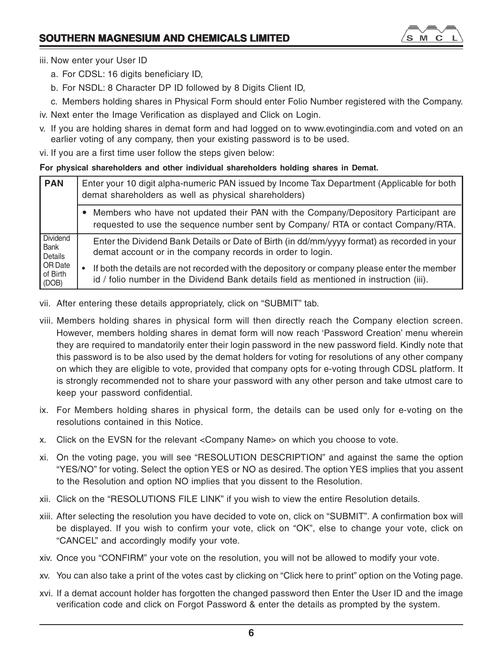

# iii. Now enter your User ID

- a. For CDSL: 16 digits beneficiary ID,
- b. For NSDL: 8 Character DP ID followed by 8 Digits Client ID,
- c. Members holding shares in Physical Form should enter Folio Number registered with the Company.
- iv. Next enter the Image Verification as displayed and Click on Login.
- v. If you are holding shares in demat form and had logged on to www.evotingindia.com and voted on an earlier voting of any company, then your existing password is to be used.
- vi. If you are a first time user follow the steps given below:

# **For physical shareholders and other individual shareholders holding shares in Demat.**

| <b>PAN</b>                   | Enter your 10 digit alpha-numeric PAN issued by Income Tax Department (Applicable for both<br>demat shareholders as well as physical shareholders)                                     |  |  |
|------------------------------|----------------------------------------------------------------------------------------------------------------------------------------------------------------------------------------|--|--|
|                              | Members who have not updated their PAN with the Company/Depository Participant are<br>requested to use the sequence number sent by Company/ RTA or contact Company/RTA.                |  |  |
| Dividend<br>Bank<br>Details  | Enter the Dividend Bank Details or Date of Birth (in dd/mm/yyyy format) as recorded in your<br>demat account or in the company records in order to login.                              |  |  |
| OR Date<br>of Birth<br>(DOB) | If both the details are not recorded with the depository or company please enter the member<br>id / folio number in the Dividend Bank details field as mentioned in instruction (iii). |  |  |

- vii. After entering these details appropriately, click on "SUBMIT" tab.
- viii. Members holding shares in physical form will then directly reach the Company election screen. However, members holding shares in demat form will now reach 'Password Creation' menu wherein they are required to mandatorily enter their login password in the new password field. Kindly note that this password is to be also used by the demat holders for voting for resolutions of any other company on which they are eligible to vote, provided that company opts for e-voting through CDSL platform. It is strongly recommended not to share your password with any other person and take utmost care to keep your password confidential.
- ix. For Members holding shares in physical form, the details can be used only for e-voting on the resolutions contained in this Notice.
- x. Click on the EVSN for the relevant <Company Name> on which you choose to vote.
- xi. On the voting page, you will see "RESOLUTION DESCRIPTION" and against the same the option "YES/NO" for voting. Select the option YES or NO as desired. The option YES implies that you assent to the Resolution and option NO implies that you dissent to the Resolution.
- xii. Click on the "RESOLUTIONS FILE LINK" if you wish to view the entire Resolution details.
- xiii. After selecting the resolution you have decided to vote on, click on "SUBMIT". A confirmation box will be displayed. If you wish to confirm your vote, click on "OK", else to change your vote, click on "CANCEL" and accordingly modify your vote.
- xiv. Once you "CONFIRM" your vote on the resolution, you will not be allowed to modify your vote.
- xv. You can also take a print of the votes cast by clicking on "Click here to print" option on the Voting page.
- xvi. If a demat account holder has forgotten the changed password then Enter the User ID and the image verification code and click on Forgot Password & enter the details as prompted by the system.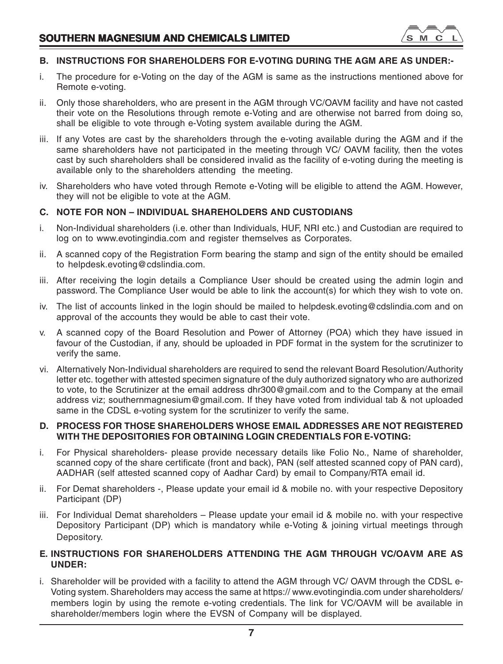

# **B. INSTRUCTIONS FOR SHAREHOLDERS FOR E-VOTING DURING THE AGM ARE AS UNDER:-**

- i. The procedure for e-Voting on the day of the AGM is same as the instructions mentioned above for Remote e-voting.
- ii. Only those shareholders, who are present in the AGM through VC/OAVM facility and have not casted their vote on the Resolutions through remote e-Voting and are otherwise not barred from doing so, shall be eligible to vote through e-Voting system available during the AGM.
- iii. If any Votes are cast by the shareholders through the e-voting available during the AGM and if the same shareholders have not participated in the meeting through VC/ OAVM facility, then the votes cast by such shareholders shall be considered invalid as the facility of e-voting during the meeting is available only to the shareholders attending the meeting.
- iv. Shareholders who have voted through Remote e-Voting will be eligible to attend the AGM. However, they will not be eligible to vote at the AGM.

# **C. NOTE FOR NON – INDIVIDUAL SHAREHOLDERS AND CUSTODIANS**

- i. Non-Individual shareholders (i.e. other than Individuals, HUF, NRI etc.) and Custodian are required to log on to www.evotingindia.com and register themselves as Corporates.
- ii. A scanned copy of the Registration Form bearing the stamp and sign of the entity should be emailed to helpdesk.evoting@cdslindia.com.
- iii. After receiving the login details a Compliance User should be created using the admin login and password. The Compliance User would be able to link the account(s) for which they wish to vote on.
- iv. The list of accounts linked in the login should be mailed to helpdesk.evoting@cdslindia.com and on approval of the accounts they would be able to cast their vote.
- v. A scanned copy of the Board Resolution and Power of Attorney (POA) which they have issued in favour of the Custodian, if any, should be uploaded in PDF format in the system for the scrutinizer to verify the same.
- vi. Alternatively Non-Individual shareholders are required to send the relevant Board Resolution/Authority letter etc. together with attested specimen signature of the duly authorized signatory who are authorized to vote, to the Scrutinizer at the email address dhr300@gmail.com and to the Company at the email address viz; southernmagnesium@gmail.com. If they have voted from individual tab & not uploaded same in the CDSL e-voting system for the scrutinizer to verify the same.

# **D. PROCESS FOR THOSE SHAREHOLDERS WHOSE EMAIL ADDRESSES ARE NOT REGISTERED WITH THE DEPOSITORIES FOR OBTAINING LOGIN CREDENTIALS FOR E-VOTING:**

- i. For Physical shareholders- please provide necessary details like Folio No., Name of shareholder, scanned copy of the share certificate (front and back), PAN (self attested scanned copy of PAN card), AADHAR (self attested scanned copy of Aadhar Card) by email to Company/RTA email id.
- ii. For Demat shareholders -, Please update your email id & mobile no. with your respective Depository Participant (DP)
- iii. For Individual Demat shareholders Please update your email id & mobile no. with your respective Depository Participant (DP) which is mandatory while e-Voting & joining virtual meetings through Depository.

# **E. INSTRUCTIONS FOR SHAREHOLDERS ATTENDING THE AGM THROUGH VC/OAVM ARE AS UNDER:**

i. Shareholder will be provided with a facility to attend the AGM through VC/ OAVM through the CDSL e-Voting system. Shareholders may access the same at https:// www.evotingindia.com under shareholders/ members login by using the remote e-voting credentials. The link for VC/OAVM will be available in shareholder/members login where the EVSN of Company will be displayed.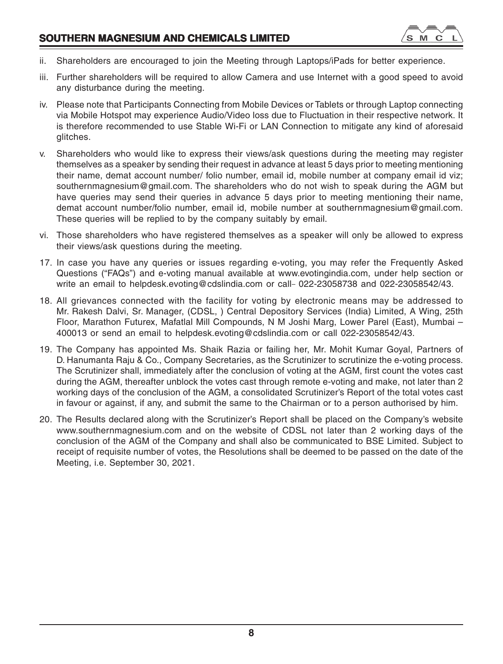- ii. Shareholders are encouraged to join the Meeting through Laptops/iPads for better experience.
- iii. Further shareholders will be required to allow Camera and use Internet with a good speed to avoid any disturbance during the meeting.
- iv. Please note that Participants Connecting from Mobile Devices or Tablets or through Laptop connecting via Mobile Hotspot may experience Audio/Video loss due to Fluctuation in their respective network. It is therefore recommended to use Stable Wi-Fi or LAN Connection to mitigate any kind of aforesaid glitches.
- v. Shareholders who would like to express their views/ask questions during the meeting may register themselves as a speaker by sending their request in advance at least 5 days prior to meeting mentioning their name, demat account number/ folio number, email id, mobile number at company email id viz; southernmagnesium@gmail.com. The shareholders who do not wish to speak during the AGM but have queries may send their queries in advance 5 days prior to meeting mentioning their name, demat account number/folio number, email id, mobile number at southernmagnesium@gmail.com. These queries will be replied to by the company suitably by email.
- vi. Those shareholders who have registered themselves as a speaker will only be allowed to express their views/ask questions during the meeting.
- 17. In case you have any queries or issues regarding e-voting, you may refer the Frequently Asked Questions ("FAQs") and e-voting manual available at www.evotingindia.com, under help section or write an email to helpdesk.evoting@cdslindia.com or call-022-23058738 and 022-23058542/43.
- 18. All grievances connected with the facility for voting by electronic means may be addressed to Mr. Rakesh Dalvi, Sr. Manager, (CDSL, ) Central Depository Services (India) Limited, A Wing, 25th Floor, Marathon Futurex, Mafatlal Mill Compounds, N M Joshi Marg, Lower Parel (East), Mumbai – 400013 or send an email to helpdesk.evoting@cdslindia.com or call 022-23058542/43.
- 19. The Company has appointed Ms. Shaik Razia or failing her, Mr. Mohit Kumar Goyal, Partners of D. Hanumanta Raju & Co., Company Secretaries, as the Scrutinizer to scrutinize the e-voting process. The Scrutinizer shall, immediately after the conclusion of voting at the AGM, first count the votes cast during the AGM, thereafter unblock the votes cast through remote e-voting and make, not later than 2 working days of the conclusion of the AGM, a consolidated Scrutinizer's Report of the total votes cast in favour or against, if any, and submit the same to the Chairman or to a person authorised by him.
- 20. The Results declared along with the Scrutinizer's Report shall be placed on the Company's website www.southernmagnesium.com and on the website of CDSL not later than 2 working days of the conclusion of the AGM of the Company and shall also be communicated to BSE Limited. Subject to receipt of requisite number of votes, the Resolutions shall be deemed to be passed on the date of the Meeting, i.e. September 30, 2021.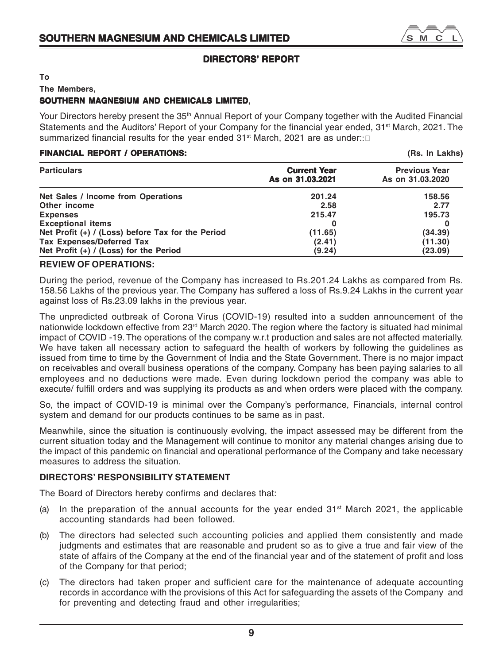# **DIRECTORS' REPORT**

**To**

**The Members,**

# **SOUTHERN MAGNESIUM AND CHEMICALS LIMITED, LIMITED**

Your Directors hereby present the 35<sup>th</sup> Annual Report of your Company together with the Audited Financial Statements and the Auditors' Report of your Company for the financial year ended, 31<sup>st</sup> March, 2021. The summarized financial results for the year ended 31<sup>st</sup> March, 2021 are as under::

# **FINANCIAL REPORT / OPERATIONS: (Rs. In Lakhs)**

| <b>Particulars</b>                                  | <b>Current Year</b><br>As on 31,03,2021 | <b>Previous Year</b><br>As on 31.03.2020 |
|-----------------------------------------------------|-----------------------------------------|------------------------------------------|
| Net Sales / Income from Operations                  | 201.24                                  | 158.56                                   |
| Other income                                        | 2.58                                    | 2.77                                     |
| <b>Expenses</b>                                     | 215.47                                  | 195.73                                   |
| <b>Exceptional items</b>                            |                                         |                                          |
| Net Profit $(+)$ / (Loss) before Tax for the Period | (11.65)                                 | (34.39)                                  |
| Tax Expenses/Deferred Tax                           | (2.41)                                  | (11.30)                                  |
| Net Profit $(+)$ / (Loss) for the Period            | (9.24)                                  | (23.09)                                  |

# **REVIEW OF OPERATIONS:**

During the period, revenue of the Company has increased to Rs.201.24 Lakhs as compared from Rs. 158.56 Lakhs of the previous year. The Company has suffered a loss of Rs.9.24 Lakhs in the current year against loss of Rs.23.09 lakhs in the previous year.

The unpredicted outbreak of Corona Virus (COVID-19) resulted into a sudden announcement of the nationwide lockdown effective from 23<sup>rd</sup> March 2020. The region where the factory is situated had minimal impact of COVID -19. The operations of the company w.r.t production and sales are not affected materially. We have taken all necessary action to safeguard the health of workers by following the guidelines as issued from time to time by the Government of India and the State Government. There is no major impact on receivables and overall business operations of the company. Company has been paying salaries to all employees and no deductions were made. Even during lockdown period the company was able to execute/ fulfill orders and was supplying its products as and when orders were placed with the company.

So, the impact of COVID-19 is minimal over the Company's performance, Financials, internal control system and demand for our products continues to be same as in past.

Meanwhile, since the situation is continuously evolving, the impact assessed may be different from the current situation today and the Management will continue to monitor any material changes arising due to the impact of this pandemic on financial and operational performance of the Company and take necessary measures to address the situation.

# **DIRECTORS' RESPONSIBILITY STATEMENT**

The Board of Directors hereby confirms and declares that:

- (a) In the preparation of the annual accounts for the year ended  $31<sup>st</sup>$  March 2021, the applicable accounting standards had been followed.
- (b) The directors had selected such accounting policies and applied them consistently and made judgments and estimates that are reasonable and prudent so as to give a true and fair view of the state of affairs of the Company at the end of the financial year and of the statement of profit and loss of the Company for that period;
- (c) The directors had taken proper and sufficient care for the maintenance of adequate accounting records in accordance with the provisions of this Act for safeguarding the assets of the Company and for preventing and detecting fraud and other irregularities;

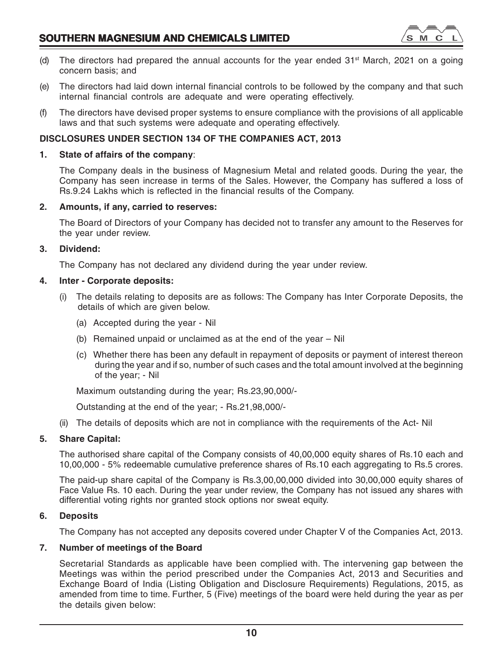

- (d) The directors had prepared the annual accounts for the year ended  $31<sup>st</sup>$  March, 2021 on a going concern basis; and
- (e) The directors had laid down internal financial controls to be followed by the company and that such internal financial controls are adequate and were operating effectively.
- (f) The directors have devised proper systems to ensure compliance with the provisions of all applicable laws and that such systems were adequate and operating effectively.

# **DISCLOSURES UNDER SECTION 134 OF THE COMPANIES ACT, 2013**

# **1. State of affairs of the company**:

The Company deals in the business of Magnesium Metal and related goods. During the year, the Company has seen increase in terms of the Sales. However, the Company has suffered a loss of Rs.9.24 Lakhs which is reflected in the financial results of the Company.

# **2. Amounts, if any, carried to reserves:**

The Board of Directors of your Company has decided not to transfer any amount to the Reserves for the year under review.

# **3. Dividend:**

The Company has not declared any dividend during the year under review.

# **4. Inter - Corporate deposits:**

- (i) The details relating to deposits are as follows: The Company has Inter Corporate Deposits, the details of which are given below.
	- (a) Accepted during the year Nil
	- (b) Remained unpaid or unclaimed as at the end of the year Nil
	- (c) Whether there has been any default in repayment of deposits or payment of interest thereon during the year and if so, number of such cases and the total amount involved at the beginning of the year; - Nil

Maximum outstanding during the year; Rs.23,90,000/-

Outstanding at the end of the year; - Rs.21,98,000/-

(ii) The details of deposits which are not in compliance with the requirements of the Act- Nil

# **5. Share Capital:**

The authorised share capital of the Company consists of 40,00,000 equity shares of Rs.10 each and 10,00,000 - 5% redeemable cumulative preference shares of Rs.10 each aggregating to Rs.5 crores.

The paid-up share capital of the Company is Rs.3,00,00,000 divided into 30,00,000 equity shares of Face Value Rs. 10 each. During the year under review, the Company has not issued any shares with differential voting rights nor granted stock options nor sweat equity.

# **6. Deposits**

The Company has not accepted any deposits covered under Chapter V of the Companies Act, 2013.

# **7. Number of meetings of the Board**

Secretarial Standards as applicable have been complied with. The intervening gap between the Meetings was within the period prescribed under the Companies Act, 2013 and Securities and Exchange Board of India (Listing Obligation and Disclosure Requirements) Regulations, 2015, as amended from time to time. Further, 5 (Five) meetings of the board were held during the year as per the details given below: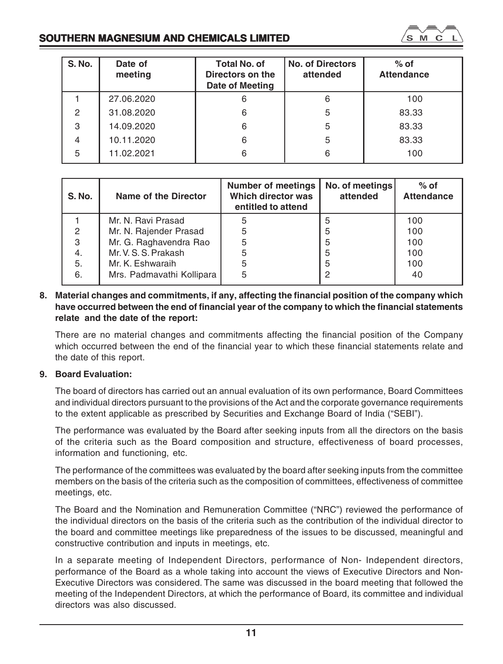

's **M** 

| <b>S. No.</b> | Name of the Director      | <b>Number of meetings</b><br>Which director was<br>entitled to attend | No. of meetings<br>attended | $%$ of<br><b>Attendance</b> |
|---------------|---------------------------|-----------------------------------------------------------------------|-----------------------------|-----------------------------|
|               | Mr. N. Ravi Prasad        |                                                                       | 5                           | 100                         |
| 2             | Mr. N. Rajender Prasad    | 5                                                                     | 5                           | 100                         |
| 3             | Mr. G. Raghavendra Rao    |                                                                       | 5                           | 100                         |
| 4.            | Mr. V. S. S. Prakash      |                                                                       | 5                           | 100                         |
| 5.            | Mr. K. Eshwaraih          | 5                                                                     | 5                           | 100                         |
| 6.            | Mrs. Padmavathi Kollipara | 5                                                                     |                             | 40                          |

# **8. Material changes and commitments, if any, affecting the financial position of the company which have occurred between the end of financial year of the company to which the financial statements relate and the date of the report:**

There are no material changes and commitments affecting the financial position of the Company which occurred between the end of the financial year to which these financial statements relate and the date of this report.

# **9. Board Evaluation:**

The board of directors has carried out an annual evaluation of its own performance, Board Committees and individual directors pursuant to the provisions of the Act and the corporate governance requirements to the extent applicable as prescribed by Securities and Exchange Board of India ("SEBI").

The performance was evaluated by the Board after seeking inputs from all the directors on the basis of the criteria such as the Board composition and structure, effectiveness of board processes, information and functioning, etc.

The performance of the committees was evaluated by the board after seeking inputs from the committee members on the basis of the criteria such as the composition of committees, effectiveness of committee meetings, etc.

The Board and the Nomination and Remuneration Committee ("NRC") reviewed the performance of the individual directors on the basis of the criteria such as the contribution of the individual director to the board and committee meetings like preparedness of the issues to be discussed, meaningful and constructive contribution and inputs in meetings, etc.

In a separate meeting of Independent Directors, performance of Non- Independent directors, performance of the Board as a whole taking into account the views of Executive Directors and Non-Executive Directors was considered. The same was discussed in the board meeting that followed the meeting of the Independent Directors, at which the performance of Board, its committee and individual directors was also discussed.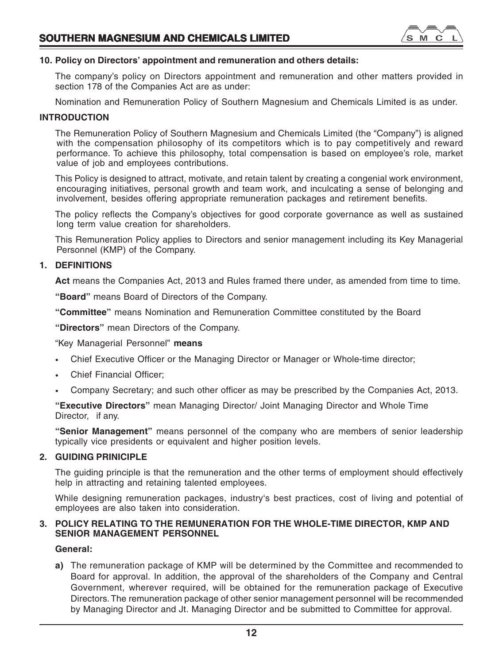

# **10. Policy on Directors' appointment and remuneration and others details:**

The company's policy on Directors appointment and remuneration and other matters provided in section 178 of the Companies Act are as under:

Nomination and Remuneration Policy of Southern Magnesium and Chemicals Limited is as under.

# **INTRODUCTION**

The Remuneration Policy of Southern Magnesium and Chemicals Limited (the "Company") is aligned with the compensation philosophy of its competitors which is to pay competitively and reward performance. To achieve this philosophy, total compensation is based on employee's role, market value of job and employees contributions.

This Policy is designed to attract, motivate, and retain talent by creating a congenial work environment, encouraging initiatives, personal growth and team work, and inculcating a sense of belonging and involvement, besides offering appropriate remuneration packages and retirement benefits.

The policy reflects the Company's objectives for good corporate governance as well as sustained long term value creation for shareholders.

This Remuneration Policy applies to Directors and senior management including its Key Managerial Personnel (KMP) of the Company.

# **1. DEFINITIONS**

Act means the Companies Act, 2013 and Rules framed there under, as amended from time to time.

**"Board"** means Board of Directors of the Company.

**"Committee"** means Nomination and Remuneration Committee constituted by the Board

**"Directors"** mean Directors of the Company.

"Key Managerial Personnel" **means**

- Chief Executive Officer or the Managing Director or Manager or Whole-time director;
- Chief Financial Officer:
- Company Secretary; and such other officer as may be prescribed by the Companies Act, 2013.

**"Executive Directors"** mean Managing Director/ Joint Managing Director and Whole Time Director, if any.

**"Senior Management"** means personnel of the company who are members of senior leadership typically vice presidents or equivalent and higher position levels.

# **2. GUIDING PRINICIPLE**

The guiding principle is that the remuneration and the other terms of employment should effectively help in attracting and retaining talented employees.

While designing remuneration packages, industry's best practices, cost of living and potential of employees are also taken into consideration.

# **3. POLICY RELATING TO THE REMUNERATION FOR THE WHOLE-TIME DIRECTOR, KMP AND SENIOR MANAGEMENT PERSONNEL**

# **General:**

**a)** The remuneration package of KMP will be determined by the Committee and recommended to Board for approval. In addition, the approval of the shareholders of the Company and Central Government, wherever required, will be obtained for the remuneration package of Executive Directors. The remuneration package of other senior management personnel will be recommended by Managing Director and Jt. Managing Director and be submitted to Committee for approval.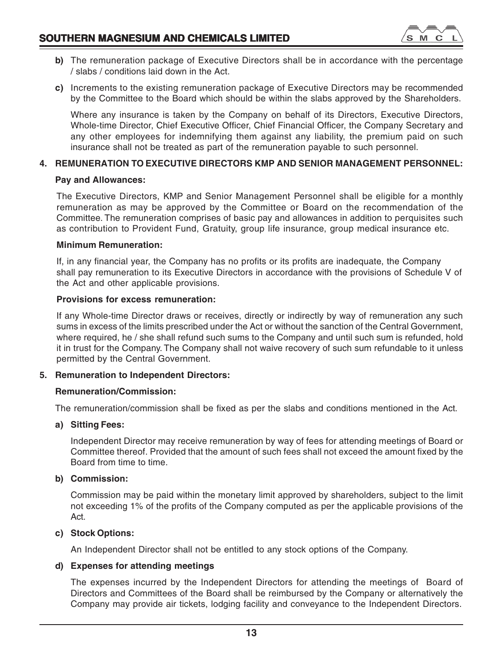

- **b)** The remuneration package of Executive Directors shall be in accordance with the percentage / slabs / conditions laid down in the Act.
- **c)** Increments to the existing remuneration package of Executive Directors may be recommended by the Committee to the Board which should be within the slabs approved by the Shareholders.

Where any insurance is taken by the Company on behalf of its Directors, Executive Directors, Whole-time Director, Chief Executive Officer, Chief Financial Officer, the Company Secretary and any other employees for indemnifying them against any liability, the premium paid on such insurance shall not be treated as part of the remuneration payable to such personnel.

# **4. REMUNERATION TO EXECUTIVE DIRECTORS KMP AND SENIOR MANAGEMENT PERSONNEL:**

# **Pay and Allowances:**

The Executive Directors, KMP and Senior Management Personnel shall be eligible for a monthly remuneration as may be approved by the Committee or Board on the recommendation of the Committee. The remuneration comprises of basic pay and allowances in addition to perquisites such as contribution to Provident Fund, Gratuity, group life insurance, group medical insurance etc.

# **Minimum Remuneration:**

If, in any financial year, the Company has no profits or its profits are inadequate, the Company shall pay remuneration to its Executive Directors in accordance with the provisions of Schedule V of the Act and other applicable provisions.

# **Provisions for excess remuneration:**

If any Whole-time Director draws or receives, directly or indirectly by way of remuneration any such sums in excess of the limits prescribed under the Act or without the sanction of the Central Government, where required, he / she shall refund such sums to the Company and until such sum is refunded, hold it in trust for the Company. The Company shall not waive recovery of such sum refundable to it unless permitted by the Central Government.

# **5. Remuneration to Independent Directors:**

# **Remuneration/Commission:**

The remuneration/commission shall be fixed as per the slabs and conditions mentioned in the Act.

# **a) Sitting Fees:**

Independent Director may receive remuneration by way of fees for attending meetings of Board or Committee thereof. Provided that the amount of such fees shall not exceed the amount fixed by the Board from time to time.

# **b) Commission:**

Commission may be paid within the monetary limit approved by shareholders, subject to the limit not exceeding 1% of the profits of the Company computed as per the applicable provisions of the Act.

# **c) Stock Options:**

An Independent Director shall not be entitled to any stock options of the Company.

# **d) Expenses for attending meetings**

The expenses incurred by the Independent Directors for attending the meetings of Board of Directors and Committees of the Board shall be reimbursed by the Company or alternatively the Company may provide air tickets, lodging facility and conveyance to the Independent Directors.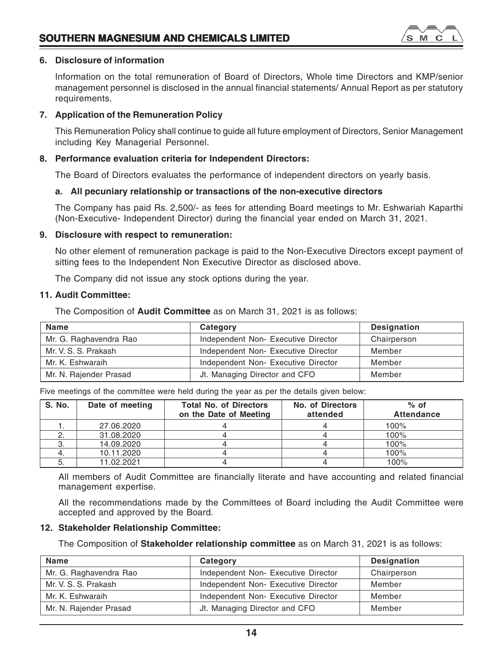

# **6. Disclosure of information**

Information on the total remuneration of Board of Directors, Whole time Directors and KMP/senior management personnel is disclosed in the annual financial statements/ Annual Report as per statutory requirements.

# **7. Application of the Remuneration Policy**

This Remuneration Policy shall continue to guide all future employment of Directors, Senior Management including Key Managerial Personnel.

# **8. Performance evaluation criteria for Independent Directors:**

The Board of Directors evaluates the performance of independent directors on yearly basis.

# **a. All pecuniary relationship or transactions of the non-executive directors**

The Company has paid Rs. 2,500/- as fees for attending Board meetings to Mr. Eshwariah Kaparthi (Non-Executive- Independent Director) during the financial year ended on March 31, 2021.

# **9. Disclosure with respect to remuneration:**

No other element of remuneration package is paid to the Non-Executive Directors except payment of sitting fees to the Independent Non Executive Director as disclosed above.

The Company did not issue any stock options during the year.

# **11. Audit Committee:**

The Composition of **Audit Committee** as on March 31, 2021 is as follows:

| Name                   | Category                            | Designation |
|------------------------|-------------------------------------|-------------|
| Mr. G. Raghavendra Rao | Independent Non- Executive Director | Chairperson |
| Mr. V. S. S. Prakash   | Independent Non- Executive Director | Member      |
| Mr. K. Eshwaraih       | Independent Non- Executive Director | Member      |
| Mr. N. Rajender Prasad | Jt. Managing Director and CFO       | Member      |

Five meetings of the committee were held during the year as per the details given below:

| S. No. | Date of meeting | <b>Total No. of Directors</b><br>on the Date of Meeting | No. of Directors<br>attended | $%$ of<br><b>Attendance</b> |
|--------|-----------------|---------------------------------------------------------|------------------------------|-----------------------------|
|        | 27.06.2020      |                                                         |                              | 100%                        |
|        | 31.08.2020      |                                                         |                              | 100%                        |
|        | 14.09.2020      |                                                         |                              | 100%                        |
|        | 10.11.2020      |                                                         |                              | 100%                        |
|        | 11.02.2021      |                                                         |                              | 100%                        |

All members of Audit Committee are financially literate and have accounting and related financial management expertise.

All the recommendations made by the Committees of Board including the Audit Committee were accepted and approved by the Board.

# **12. Stakeholder Relationship Committee:**

The Composition of **Stakeholder relationship committee** as on March 31, 2021 is as follows:

| Name                   | Category                            | <b>Designation</b> |
|------------------------|-------------------------------------|--------------------|
| Mr. G. Raghavendra Rao | Independent Non- Executive Director | Chairperson        |
| Mr. V. S. S. Prakash   | Independent Non- Executive Director | Member             |
| Mr. K. Eshwaraih       | Independent Non- Executive Director | Member             |
| Mr. N. Rajender Prasad | Jt. Managing Director and CFO       | Member             |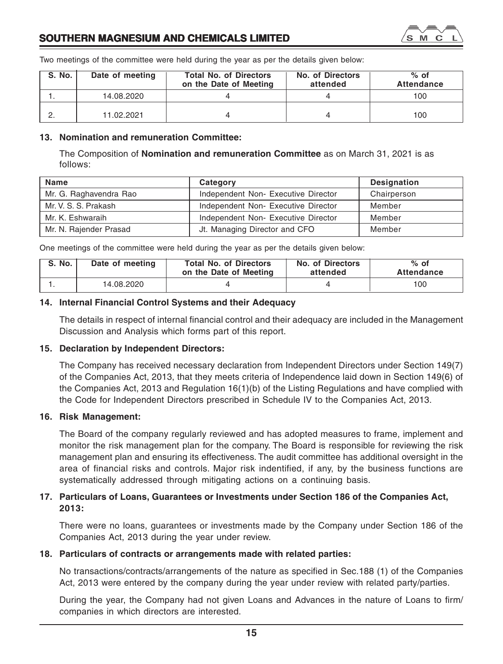

Two meetings of the committee were held during the year as per the details given below:

| <b>S. No.</b> | Date of meeting | <b>Total No. of Directors</b><br>on the Date of Meeting | No. of Directors<br>attended | $%$ of<br>Attendance |
|---------------|-----------------|---------------------------------------------------------|------------------------------|----------------------|
|               | 14.08.2020      |                                                         |                              | 100                  |
|               | 11.02.2021      |                                                         |                              | 100                  |

# **13. Nomination and remuneration Committee:**

The Composition of **Nomination and remuneration Committee** as on March 31, 2021 is as follows:

| Name                   | Category                            | <b>Designation</b> |
|------------------------|-------------------------------------|--------------------|
| Mr. G. Raghavendra Rao | Independent Non-Executive Director  | Chairperson        |
| Mr. V. S. S. Prakash   | Independent Non- Executive Director | Member             |
| Mr. K. Eshwaraih       | Independent Non-Executive Director  | Member             |
| Mr. N. Rajender Prasad | Jt. Managing Director and CFO       | Member             |

One meetings of the committee were held during the year as per the details given below:

| <b>S. No.</b>   |            | <b>Total No. of Directors</b> | No. of Directors | $%$ of     |
|-----------------|------------|-------------------------------|------------------|------------|
| Date of meeting |            | on the Date of Meeting        | attended         | Attendance |
|                 | 14.08.2020 |                               |                  | 100        |

# **14. Internal Financial Control Systems and their Adequacy**

The details in respect of internal financial control and their adequacy are included in the Management Discussion and Analysis which forms part of this report.

# **15. Declaration by Independent Directors:**

The Company has received necessary declaration from Independent Directors under Section 149(7) of the Companies Act, 2013, that they meets criteria of Independence laid down in Section 149(6) of the Companies Act, 2013 and Regulation 16(1)(b) of the Listing Regulations and have complied with the Code for Independent Directors prescribed in Schedule IV to the Companies Act, 2013.

# **16. Risk Management:**

The Board of the company regularly reviewed and has adopted measures to frame, implement and monitor the risk management plan for the company. The Board is responsible for reviewing the risk management plan and ensuring its effectiveness. The audit committee has additional oversight in the area of financial risks and controls. Major risk indentified, if any, by the business functions are systematically addressed through mitigating actions on a continuing basis.

# **17. Particulars of Loans, Guarantees or Investments under Section 186 of the Companies Act, 2013:**

There were no loans, guarantees or investments made by the Company under Section 186 of the Companies Act, 2013 during the year under review.

# **18. Particulars of contracts or arrangements made with related parties:**

No transactions/contracts/arrangements of the nature as specified in Sec.188 (1) of the Companies Act, 2013 were entered by the company during the year under review with related party/parties.

During the year, the Company had not given Loans and Advances in the nature of Loans to firm/ companies in which directors are interested.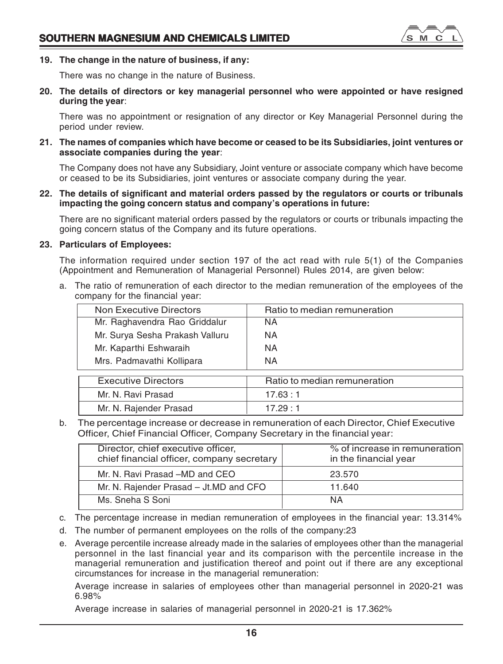

# **19. The change in the nature of business, if any:**

There was no change in the nature of Business.

**20. The details of directors or key managerial personnel who were appointed or have resigned during the year**:

There was no appointment or resignation of any director or Key Managerial Personnel during the period under review.

**21. The names of companies which have become or ceased to be its Subsidiaries, joint ventures or associate companies during the year**:

The Company does not have any Subsidiary, Joint venture or associate company which have become or ceased to be its Subsidiaries, joint ventures or associate company during the year.

**22. The details of significant and material orders passed by the regulators or courts or tribunals impacting the going concern status and company's operations in future:**

There are no significant material orders passed by the regulators or courts or tribunals impacting the going concern status of the Company and its future operations.

# **23. Particulars of Employees:**

The information required under section 197 of the act read with rule 5(1) of the Companies (Appointment and Remuneration of Managerial Personnel) Rules 2014, are given below:

a. The ratio of remuneration of each director to the median remuneration of the employees of the company for the financial year:

| Non Executive Directors         | Ratio to median remuneration |
|---------------------------------|------------------------------|
| Mr. Raghavendra Rao Griddalur   | ΝA                           |
| Mr. Surya Sesha Prakash Valluru | ΝA                           |
| Mr. Kaparthi Eshwaraih          | ΝA                           |
| Mrs. Padmavathi Kollipara       | ΝA                           |
|                                 |                              |

| Executive Directors    | Ratio to median remuneration |
|------------------------|------------------------------|
| Mr. N. Ravi Prasad     | 17.63 : 1                    |
| Mr. N. Rajender Prasad | 17.29:1                      |

b. The percentage increase or decrease in remuneration of each Director, Chief Executive Officer, Chief Financial Officer, Company Secretary in the financial year:

| Director, chief executive officer,<br>chief financial officer, company secretary | % of increase in remuneration<br>in the financial year |
|----------------------------------------------------------------------------------|--------------------------------------------------------|
| Mr. N. Ravi Prasad -MD and CEO                                                   | 23.570                                                 |
| Mr. N. Rajender Prasad – Jt.MD and CFO                                           | 11.640                                                 |
| Ms. Sneha S Soni                                                                 | ΝA                                                     |
|                                                                                  |                                                        |

- c. The percentage increase in median remuneration of employees in the financial year: 13.314%
- d. The number of permanent employees on the rolls of the company:23
- e. Average percentile increase already made in the salaries of employees other than the managerial personnel in the last financial year and its comparison with the percentile increase in the managerial remuneration and justification thereof and point out if there are any exceptional circumstances for increase in the managerial remuneration:

Average increase in salaries of employees other than managerial personnel in 2020-21 was 6.98%

Average increase in salaries of managerial personnel in 2020-21 is 17.362%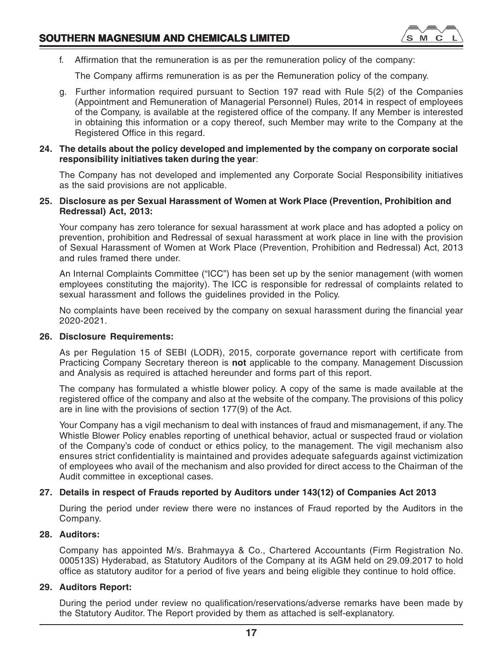

f. Affirmation that the remuneration is as per the remuneration policy of the company:

The Company affirms remuneration is as per the Remuneration policy of the company.

g. Further information required pursuant to Section 197 read with Rule 5(2) of the Companies (Appointment and Remuneration of Managerial Personnel) Rules, 2014 in respect of employees of the Company, is available at the registered office of the company. If any Member is interested in obtaining this information or a copy thereof, such Member may write to the Company at the Registered Office in this regard.

# **24. The details about the policy developed and implemented by the company on corporate social responsibility initiatives taken during the year**:

The Company has not developed and implemented any Corporate Social Responsibility initiatives as the said provisions are not applicable.

# **25. Disclosure as per Sexual Harassment of Women at Work Place (Prevention, Prohibition and Redressal) Act, 2013:**

Your company has zero tolerance for sexual harassment at work place and has adopted a policy on prevention, prohibition and Redressal of sexual harassment at work place in line with the provision of Sexual Harassment of Women at Work Place (Prevention, Prohibition and Redressal) Act, 2013 and rules framed there under.

An Internal Complaints Committee ("ICC") has been set up by the senior management (with women employees constituting the majority). The ICC is responsible for redressal of complaints related to sexual harassment and follows the guidelines provided in the Policy.

No complaints have been received by the company on sexual harassment during the financial year 2020-2021.

# **26. Disclosure Requirements:**

As per Regulation 15 of SEBI (LODR), 2015, corporate governance report with certificate from Practicing Company Secretary thereon is **not** applicable to the company. Management Discussion and Analysis as required is attached hereunder and forms part of this report.

The company has formulated a whistle blower policy. A copy of the same is made available at the registered office of the company and also at the website of the company. The provisions of this policy are in line with the provisions of section 177(9) of the Act.

Your Company has a vigil mechanism to deal with instances of fraud and mismanagement, if any. The Whistle Blower Policy enables reporting of unethical behavior, actual or suspected fraud or violation of the Company's code of conduct or ethics policy, to the management. The vigil mechanism also ensures strict confidentiality is maintained and provides adequate safeguards against victimization of employees who avail of the mechanism and also provided for direct access to the Chairman of the Audit committee in exceptional cases.

# **27. Details in respect of Frauds reported by Auditors under 143(12) of Companies Act 2013**

During the period under review there were no instances of Fraud reported by the Auditors in the Company.

# **28. Auditors:**

Company has appointed M/s. Brahmayya & Co., Chartered Accountants (Firm Registration No. 000513S) Hyderabad, as Statutory Auditors of the Company at its AGM held on 29.09.2017 to hold office as statutory auditor for a period of five years and being eligible they continue to hold office.

# **29. Auditors Report:**

During the period under review no qualification/reservations/adverse remarks have been made by the Statutory Auditor. The Report provided by them as attached is self-explanatory.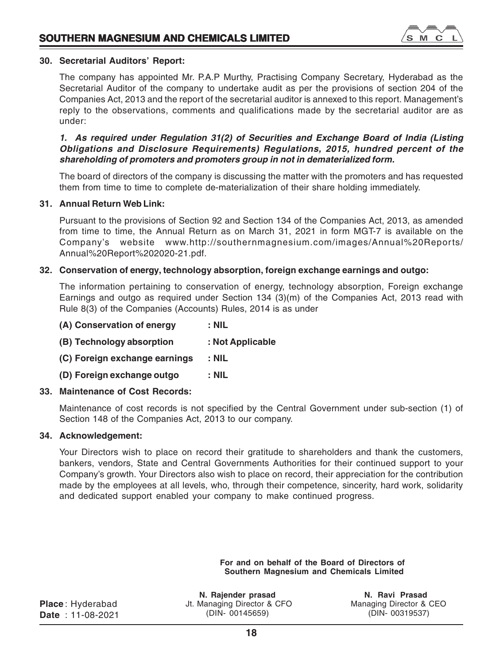

# **30. Secretarial Auditors' Report:**

The company has appointed Mr. P.A.P Murthy, Practising Company Secretary, Hyderabad as the Secretarial Auditor of the company to undertake audit as per the provisions of section 204 of the Companies Act, 2013 and the report of the secretarial auditor is annexed to this report. Management's reply to the observations, comments and qualifications made by the secretarial auditor are as under:

# *1. As required under Regulation 31(2) of Securities and Exchange Board of India (Listing Obligations and Disclosure Requirements) Regulations, 2015, hundred percent of the shareholding of promoters and promoters group in not in dematerialized form.*

The board of directors of the company is discussing the matter with the promoters and has requested them from time to time to complete de-materialization of their share holding immediately.

# **31. Annual Return Web Link:**

Pursuant to the provisions of Section 92 and Section 134 of the Companies Act, 2013, as amended from time to time, the Annual Return as on March 31, 2021 in form MGT-7 is available on the Company's website www.http://southernmagnesium.com/images/Annual%20Reports/ Annual%20Report%202020-21.pdf.

# **32. Conservation of energy, technology absorption, foreign exchange earnings and outgo:**

The information pertaining to conservation of energy, technology absorption, Foreign exchange Earnings and outgo as required under Section 134 (3)(m) of the Companies Act, 2013 read with Rule 8(3) of the Companies (Accounts) Rules, 2014 is as under

| (A) Conservation of energy    | $:$ NIL          |
|-------------------------------|------------------|
| (B) Technology absorption     | : Not Applicable |
| (C) Foreign exchange earnings | : NIL            |
| (D) Foreign exchange outgo    | : Nil            |
|                               |                  |

# **33. Maintenance of Cost Records:**

Maintenance of cost records is not specified by the Central Government under sub-section (1) of Section 148 of the Companies Act, 2013 to our company.

# **34. Acknowledgement:**

Your Directors wish to place on record their gratitude to shareholders and thank the customers, bankers, vendors, State and Central Governments Authorities for their continued support to your Company's growth. Your Directors also wish to place on record, their appreciation for the contribution made by the employees at all levels, who, through their competence, sincerity, hard work, solidarity and dedicated support enabled your company to make continued progress.

> **For and on behalf of the Board of Directors of Southern Magnesium and Chemicals Limited**

|  | <b>Place:</b> Hyderabad |
|--|-------------------------|
|  | <b>Date: 11-08-2021</b> |

**N. Rajender prasad N. Ravi Prasad** Jt. Managing Director & CFO Managing Director & CEO (DIN- 00145659) (DIN- 00319537)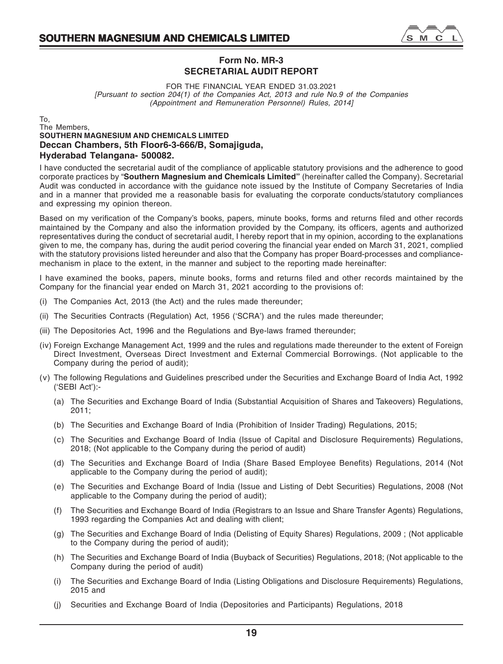

's M  $\mathbb{C}$ 

FOR THE FINANCIAL YEAR ENDED 31.03.2021 *[Pursuant to section 204(1) of the Companies Act, 2013 and rule No.9 of the Companies (Appointment and Remuneration Personnel) Rules, 2014]*

# To, The Members, **SOUTHERN MAGNESIUM AND CHEMICALS LIMITED Deccan Chambers, 5th Floor6-3-666/B, Somajiguda, Hyderabad Telangana- 500082.**

I have conducted the secretarial audit of the compliance of applicable statutory provisions and the adherence to good corporate practices by "**Southern Magnesium and Chemicals Limited"** (hereinafter called the Company). Secretarial Audit was conducted in accordance with the guidance note issued by the Institute of Company Secretaries of India and in a manner that provided me a reasonable basis for evaluating the corporate conducts/statutory compliances and expressing my opinion thereon.

Based on my verification of the Company's books, papers, minute books, forms and returns filed and other records maintained by the Company and also the information provided by the Company, its officers, agents and authorized representatives during the conduct of secretarial audit, I hereby report that in my opinion, according to the explanations given to me, the company has, during the audit period covering the financial year ended on March 31, 2021, complied with the statutory provisions listed hereunder and also that the Company has proper Board-processes and compliancemechanism in place to the extent, in the manner and subject to the reporting made hereinafter:

I have examined the books, papers, minute books, forms and returns filed and other records maintained by the Company for the financial year ended on March 31, 2021 according to the provisions of:

- (i) The Companies Act, 2013 (the Act) and the rules made thereunder;
- (ii) The Securities Contracts (Regulation) Act, 1956 ('SCRA') and the rules made thereunder;
- (iii) The Depositories Act, 1996 and the Regulations and Bye-laws framed thereunder;
- (iv) Foreign Exchange Management Act, 1999 and the rules and regulations made thereunder to the extent of Foreign Direct Investment, Overseas Direct Investment and External Commercial Borrowings. (Not applicable to the Company during the period of audit);
- (v) The following Regulations and Guidelines prescribed under the Securities and Exchange Board of India Act, 1992 ('SEBI Act'):-
	- (a) The Securities and Exchange Board of India (Substantial Acquisition of Shares and Takeovers) Regulations, 2011;
	- (b) The Securities and Exchange Board of India (Prohibition of Insider Trading) Regulations, 2015;
	- (c) The Securities and Exchange Board of India (Issue of Capital and Disclosure Requirements) Regulations, 2018; (Not applicable to the Company during the period of audit)
	- (d) The Securities and Exchange Board of India (Share Based Employee Benefits) Regulations, 2014 (Not applicable to the Company during the period of audit);
	- (e) The Securities and Exchange Board of India (Issue and Listing of Debt Securities) Regulations, 2008 (Not applicable to the Company during the period of audit);
	- (f) The Securities and Exchange Board of India (Registrars to an Issue and Share Transfer Agents) Regulations, 1993 regarding the Companies Act and dealing with client;
	- (g) The Securities and Exchange Board of India (Delisting of Equity Shares) Regulations, 2009 ; (Not applicable to the Company during the period of audit);
	- (h) The Securities and Exchange Board of India (Buyback of Securities) Regulations, 2018; (Not applicable to the Company during the period of audit)
	- (i) The Securities and Exchange Board of India (Listing Obligations and Disclosure Requirements) Regulations, 2015 and
	- (j) Securities and Exchange Board of India (Depositories and Participants) Regulations, 2018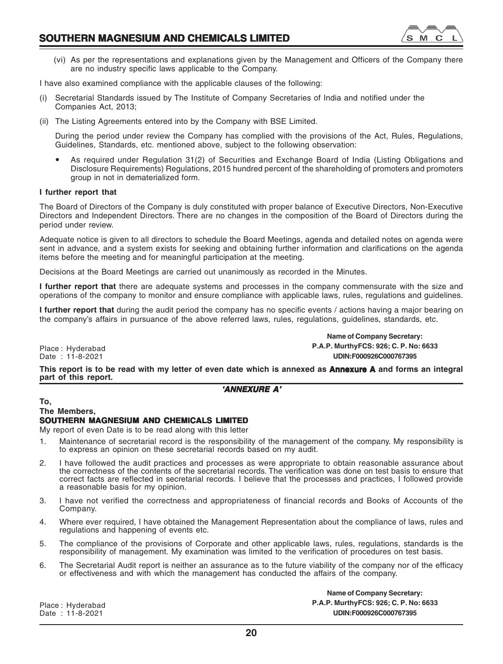

(vi) As per the representations and explanations given by the Management and Officers of the Company there are no industry specific laws applicable to the Company.

I have also examined compliance with the applicable clauses of the following:

- (i) Secretarial Standards issued by The Institute of Company Secretaries of India and notified under the Companies Act, 2013;
- (ii) The Listing Agreements entered into by the Company with BSE Limited.

During the period under review the Company has complied with the provisions of the Act, Rules, Regulations, Guidelines, Standards, etc. mentioned above, subject to the following observation:

As required under Regulation 31(2) of Securities and Exchange Board of India (Listing Obligations and Disclosure Requirements) Regulations, 2015 hundred percent of the shareholding of promoters and promoters group in not in dematerialized form.

# **I further report that**

The Board of Directors of the Company is duly constituted with proper balance of Executive Directors, Non-Executive Directors and Independent Directors. There are no changes in the composition of the Board of Directors during the period under review.

Adequate notice is given to all directors to schedule the Board Meetings, agenda and detailed notes on agenda were sent in advance, and a system exists for seeking and obtaining further information and clarifications on the agenda items before the meeting and for meaningful participation at the meeting.

Decisions at the Board Meetings are carried out unanimously as recorded in the Minutes.

**I further report that** there are adequate systems and processes in the company commensurate with the size and operations of the company to monitor and ensure compliance with applicable laws, rules, regulations and guidelines.

**I further report that** during the audit period the company has no specific events / actions having a major bearing on the company's affairs in pursuance of the above referred laws, rules, regulations, guidelines, standards, etc.

Place : Hyderabad Date : 11-8-2021

**Name of Company Secretary: P.A.P. MurthyFCS: 926; C. P. No: 6633 UDIN:F000926C000767395**

**This report is to be read with my letter of even date which is annexed as Annexure A and forms an integral A part of this report.**

# *'ANNEXURE A'*

# **To,**

# **The Members,**

# **SOUTHERN MAGNESIUM AND CHEMICALS LIMITED**

My report of even Date is to be read along with this letter

- 1. Maintenance of secretarial record is the responsibility of the management of the company. My responsibility is to express an opinion on these secretarial records based on my audit.
- 2. I have followed the audit practices and processes as were appropriate to obtain reasonable assurance about the correctness of the contents of the secretarial records. The verification was done on test basis to ensure that correct facts are reflected in secretarial records. I believe that the processes and practices, I followed provide a reasonable basis for my opinion.
- 3. I have not verified the correctness and appropriateness of financial records and Books of Accounts of the Company.
- 4. Where ever required, I have obtained the Management Representation about the compliance of laws, rules and regulations and happening of events etc.
- 5. The compliance of the provisions of Corporate and other applicable laws, rules, regulations, standards is the responsibility of management. My examination was limited to the verification of procedures on test basis.
- 6. The Secretarial Audit report is neither an assurance as to the future viability of the company nor of the efficacy or effectiveness and with which the management has conducted the affairs of the company.

Place : Hyderabad Date : 11-8-2021

**Name of Company Secretary: P.A.P. MurthyFCS: 926; C. P. No: 6633 UDIN:F000926C000767395**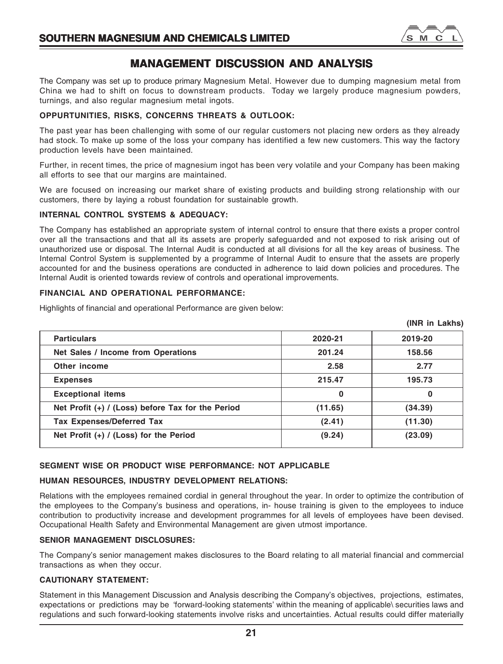

# **MANAGEMENT DISCUSSION AND ANALYSIS**

The Company was set up to produce primary Magnesium Metal. However due to dumping magnesium metal from China we had to shift on focus to downstream products. Today we largely produce magnesium powders, turnings, and also regular magnesium metal ingots.

# **OPPURTUNITIES, RISKS, CONCERNS THREATS & OUTLOOK:**

The past year has been challenging with some of our regular customers not placing new orders as they already had stock. To make up some of the loss your company has identified a few new customers. This way the factory production levels have been maintained.

Further, in recent times, the price of magnesium ingot has been very volatile and your Company has been making all efforts to see that our margins are maintained.

We are focused on increasing our market share of existing products and building strong relationship with our customers, there by laying a robust foundation for sustainable growth.

# **INTERNAL CONTROL SYSTEMS & ADEQUACY:**

The Company has established an appropriate system of internal control to ensure that there exists a proper control over all the transactions and that all its assets are properly safeguarded and not exposed to risk arising out of unauthorized use or disposal. The Internal Audit is conducted at all divisions for all the key areas of business. The Internal Control System is supplemented by a programme of Internal Audit to ensure that the assets are properly accounted for and the business operations are conducted in adherence to laid down policies and procedures. The Internal Audit is oriented towards review of controls and operational improvements.

# **FINANCIAL AND OPERATIONAL PERFORMANCE:**

Highlights of financial and operational Performance are given below:

|                                                     |         | (INR in Lakhs) |
|-----------------------------------------------------|---------|----------------|
| <b>Particulars</b>                                  | 2020-21 | 2019-20        |
| Net Sales / Income from Operations                  | 201.24  | 158.56         |
| Other income                                        | 2.58    | 2.77           |
| <b>Expenses</b>                                     | 215.47  | 195.73         |
| <b>Exceptional items</b>                            | 0       | 0              |
| Net Profit $(+)$ / (Loss) before Tax for the Period | (11.65) | (34.39)        |
| <b>Tax Expenses/Deferred Tax</b>                    | (2.41)  | (11.30)        |
| Net Profit $(+)$ / (Loss) for the Period            | (9.24)  | (23.09)        |

# **SEGMENT WISE OR PRODUCT WISE PERFORMANCE: NOT APPLICABLE**

# **HUMAN RESOURCES, INDUSTRY DEVELOPMENT RELATIONS:**

Relations with the employees remained cordial in general throughout the year. In order to optimize the contribution of the employees to the Company's business and operations, in- house training is given to the employees to induce contribution to productivity increase and development programmes for all levels of employees have been devised. Occupational Health Safety and Environmental Management are given utmost importance.

# **SENIOR MANAGEMENT DISCLOSURES:**

The Company's senior management makes disclosures to the Board relating to all material financial and commercial transactions as when they occur.

# **CAUTIONARY STATEMENT:**

Statement in this Management Discussion and Analysis describing the Company's objectives, projections, estimates, expectations or predictions may be 'forward-looking statements' within the meaning of applicable\ securities laws and regulations and such forward-looking statements involve risks and uncertainties. Actual results could differ materially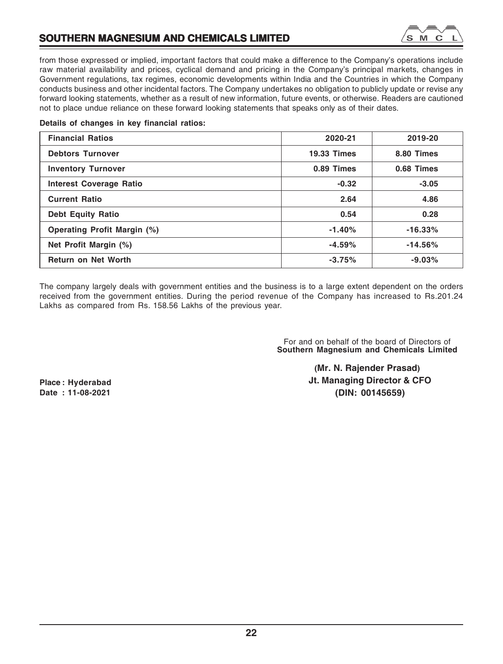

from those expressed or implied, important factors that could make a difference to the Company's operations include raw material availability and prices, cyclical demand and pricing in the Company's principal markets, changes in Government regulations, tax regimes, economic developments within India and the Countries in which the Company conducts business and other incidental factors. The Company undertakes no obligation to publicly update or revise any forward looking statements, whether as a result of new information, future events, or otherwise. Readers are cautioned not to place undue reliance on these forward looking statements that speaks only as of their dates.

# **Details of changes in key financial ratios:**

| <b>Financial Ratios</b>     | 2020-21            | 2019-20    |
|-----------------------------|--------------------|------------|
| <b>Debtors Turnover</b>     | <b>19.33 Times</b> | 8.80 Times |
| <b>Inventory Turnover</b>   | 0.89 Times         | 0.68 Times |
| Interest Coverage Ratio     | $-0.32$            | $-3.05$    |
| <b>Current Ratio</b>        | 2.64               | 4.86       |
| <b>Debt Equity Ratio</b>    | 0.54               | 0.28       |
| Operating Profit Margin (%) | $-1.40%$           | $-16.33%$  |
| Net Profit Margin (%)       | $-4.59%$           | $-14.56%$  |
| <b>Return on Net Worth</b>  | $-3.75%$           | $-9.03%$   |

The company largely deals with government entities and the business is to a large extent dependent on the orders received from the government entities. During the period revenue of the Company has increased to Rs.201.24 Lakhs as compared from Rs. 158.56 Lakhs of the previous year.

> For and on behalf of the board of Directors of **Southern Magnesium and Chemicals Limited**

**Place : Hyderabad Date : 11-08-2021**

**(Mr. N. Rajender Prasad) Jt. Managing Director & CFO (DIN: 00145659)**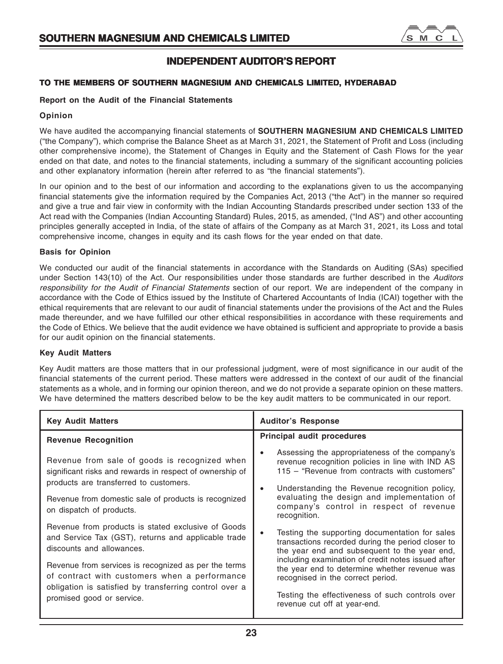

# **INDEPENDENT AUDITOR'S REPORT**

# **TO THE MEMBERS OF SOUTHERN MAGNESIUM AND CHEMICALS LIMITED, HYDERABAD**

# **Report on the Audit of the Financial Statements**

# **Opinion**

We have audited the accompanying financial statements of **SOUTHERN MAGNESIUM AND CHEMICALS LIMITED** ("the Company"), which comprise the Balance Sheet as at March 31, 2021, the Statement of Profit and Loss (including other comprehensive income), the Statement of Changes in Equity and the Statement of Cash Flows for the year ended on that date, and notes to the financial statements, including a summary of the significant accounting policies and other explanatory information (herein after referred to as "the financial statements").

In our opinion and to the best of our information and according to the explanations given to us the accompanying financial statements give the information required by the Companies Act, 2013 ("the Act") in the manner so required and give a true and fair view in conformity with the Indian Accounting Standards prescribed under section 133 of the Act read with the Companies (Indian Accounting Standard) Rules, 2015, as amended, ("Ind AS") and other accounting principles generally accepted in India, of the state of affairs of the Company as at March 31, 2021, its Loss and total comprehensive income, changes in equity and its cash flows for the year ended on that date.

# **Basis for Opinion**

We conducted our audit of the financial statements in accordance with the Standards on Auditing (SAs) specified under Section 143(10) of the Act. Our responsibilities under those standards are further described in the *Auditors responsibility for the Audit of Financial Statements* section of our report. We are independent of the company in accordance with the Code of Ethics issued by the Institute of Chartered Accountants of India (ICAI) together with the ethical requirements that are relevant to our audit of financial statements under the provisions of the Act and the Rules made thereunder, and we have fulfilled our other ethical responsibilities in accordance with these requirements and the Code of Ethics. We believe that the audit evidence we have obtained is sufficient and appropriate to provide a basis for our audit opinion on the financial statements.

# **Key Audit Matters**

Key Audit matters are those matters that in our professional judgment, were of most significance in our audit of the financial statements of the current period. These matters were addressed in the context of our audit of the financial statements as a whole, and in forming our opinion thereon, and we do not provide a separate opinion on these matters. We have determined the matters described below to be the key audit matters to be communicated in our report.

| <b>Key Audit Matters</b>                                                                                                                                                                                                                                                                                                               | <b>Auditor's Response</b>                                                                                                                                                                                                                                                                                                                                                          |
|----------------------------------------------------------------------------------------------------------------------------------------------------------------------------------------------------------------------------------------------------------------------------------------------------------------------------------------|------------------------------------------------------------------------------------------------------------------------------------------------------------------------------------------------------------------------------------------------------------------------------------------------------------------------------------------------------------------------------------|
| <b>Revenue Recognition</b>                                                                                                                                                                                                                                                                                                             | Principal audit procedures                                                                                                                                                                                                                                                                                                                                                         |
| Revenue from sale of goods is recognized when<br>significant risks and rewards in respect of ownership of<br>products are transferred to customers.<br>Revenue from domestic sale of products is recognized<br>on dispatch of products.                                                                                                | Assessing the appropriateness of the company's<br>revenue recognition policies in line with IND AS<br>115 - "Revenue from contracts with customers"<br>Understanding the Revenue recognition policy,<br>evaluating the design and implementation of<br>company's control in respect of revenue<br>recognition.                                                                     |
| Revenue from products is stated exclusive of Goods<br>and Service Tax (GST), returns and applicable trade<br>discounts and allowances.<br>Revenue from services is recognized as per the terms<br>of contract with customers when a performance<br>obligation is satisfied by transferring control over a<br>promised good or service. | Testing the supporting documentation for sales<br>transactions recorded during the period closer to<br>the year end and subsequent to the year end,<br>including examination of credit notes issued after<br>the year end to determine whether revenue was<br>recognised in the correct period.<br>Testing the effectiveness of such controls over<br>revenue cut off at year-end. |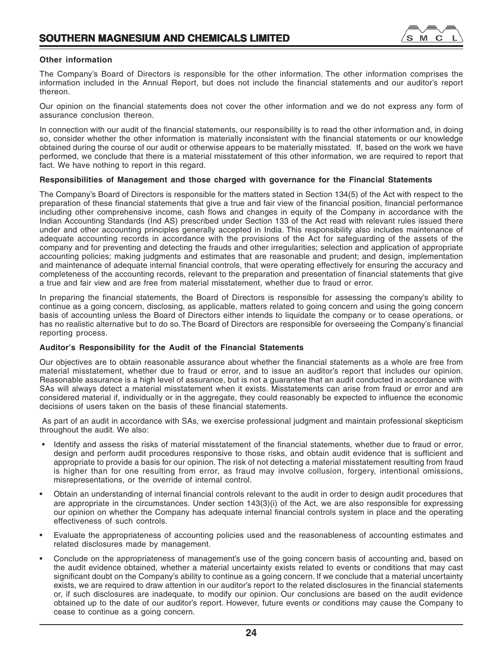

# **Other information**

The Company's Board of Directors is responsible for the other information. The other information comprises the information included in the Annual Report, but does not include the financial statements and our auditor's report thereon.

Our opinion on the financial statements does not cover the other information and we do not express any form of assurance conclusion thereon.

In connection with our audit of the financial statements, our responsibility is to read the other information and, in doing so, consider whether the other information is materially inconsistent with the financial statements or our knowledge obtained during the course of our audit or otherwise appears to be materially misstated. If, based on the work we have performed, we conclude that there is a material misstatement of this other information, we are required to report that fact. We have nothing to report in this regard.

# **Responsibilities of Management and those charged with governance for the Financial Statements**

The Company's Board of Directors is responsible for the matters stated in Section 134(5) of the Act with respect to the preparation of these financial statements that give a true and fair view of the financial position, financial performance including other comprehensive income, cash flows and changes in equity of the Company in accordance with the Indian Accounting Standards (Ind AS) prescribed under Section 133 of the Act read with relevant rules issued there under and other accounting principles generally accepted in India. This responsibility also includes maintenance of adequate accounting records in accordance with the provisions of the Act for safeguarding of the assets of the company and for preventing and detecting the frauds and other irregularities; selection and application of appropriate accounting policies; making judgments and estimates that are reasonable and prudent; and design, implementation and maintenance of adequate internal financial controls, that were operating effectively for ensuring the accuracy and completeness of the accounting records, relevant to the preparation and presentation of financial statements that give a true and fair view and are free from material misstatement, whether due to fraud or error.

In preparing the financial statements, the Board of Directors is responsible for assessing the company's ability to continue as a going concern, disclosing, as applicable, matters related to going concern and using the going concern basis of accounting unless the Board of Directors either intends to liquidate the company or to cease operations, or has no realistic alternative but to do so. The Board of Directors are responsible for overseeing the Company's financial reporting process.

# **Auditor's Responsibility for the Audit of the Financial Statements**

Our objectives are to obtain reasonable assurance about whether the financial statements as a whole are free from material misstatement, whether due to fraud or error, and to issue an auditor's report that includes our opinion. Reasonable assurance is a high level of assurance, but is not a guarantee that an audit conducted in accordance with SAs will always detect a material misstatement when it exists. Misstatements can arise from fraud or error and are considered material if, individually or in the aggregate, they could reasonably be expected to influence the economic decisions of users taken on the basis of these financial statements.

 As part of an audit in accordance with SAs, we exercise professional judgment and maintain professional skepticism throughout the audit. We also:

- Identify and assess the risks of material misstatement of the financial statements, whether due to fraud or error, design and perform audit procedures responsive to those risks, and obtain audit evidence that is sufficient and appropriate to provide a basis for our opinion. The risk of not detecting a material misstatement resulting from fraud is higher than for one resulting from error, as fraud may involve collusion, forgery, intentional omissions, misrepresentations, or the override of internal control.
- Obtain an understanding of internal financial controls relevant to the audit in order to design audit procedures that are appropriate in the circumstances. Under section 143(3)(i) of the Act, we are also responsible for expressing our opinion on whether the Company has adequate internal financial controls system in place and the operating effectiveness of such controls.
- Evaluate the appropriateness of accounting policies used and the reasonableness of accounting estimates and related disclosures made by management.
- Conclude on the appropriateness of management's use of the going concern basis of accounting and, based on the audit evidence obtained, whether a material uncertainty exists related to events or conditions that may cast significant doubt on the Company's ability to continue as a going concern. If we conclude that a material uncertainty exists, we are required to draw attention in our auditor's report to the related disclosures in the financial statements or, if such disclosures are inadequate, to modify our opinion. Our conclusions are based on the audit evidence obtained up to the date of our auditor's report. However, future events or conditions may cause the Company to cease to continue as a going concern.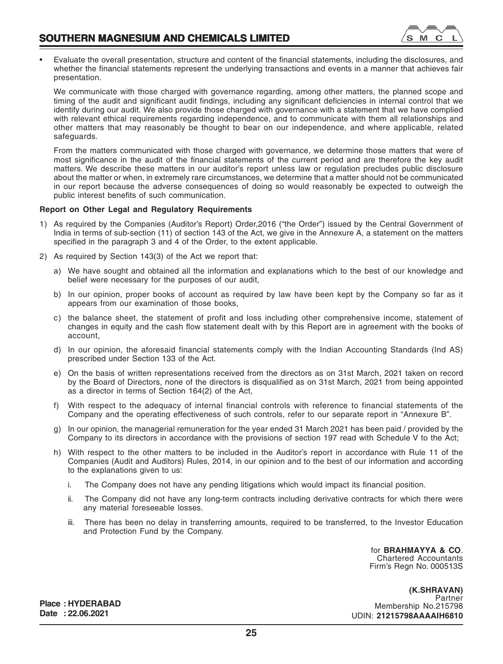

• Evaluate the overall presentation, structure and content of the financial statements, including the disclosures, and whether the financial statements represent the underlying transactions and events in a manner that achieves fair presentation.

We communicate with those charged with governance regarding, among other matters, the planned scope and timing of the audit and significant audit findings, including any significant deficiencies in internal control that we identify during our audit. We also provide those charged with governance with a statement that we have complied with relevant ethical requirements regarding independence, and to communicate with them all relationships and other matters that may reasonably be thought to bear on our independence, and where applicable, related safeguards.

From the matters communicated with those charged with governance, we determine those matters that were of most significance in the audit of the financial statements of the current period and are therefore the key audit matters. We describe these matters in our auditor's report unless law or regulation precludes public disclosure about the matter or when, in extremely rare circumstances, we determine that a matter should not be communicated in our report because the adverse consequences of doing so would reasonably be expected to outweigh the public interest benefits of such communication.

# **Report on Other Legal and Regulatory Requirements**

- 1) As required by the Companies (Auditor's Report) Order,2016 ("the Order") issued by the Central Government of India in terms of sub-section (11) of section 143 of the Act, we give in the Annexure A, a statement on the matters specified in the paragraph 3 and 4 of the Order, to the extent applicable.
- 2) As required by Section 143(3) of the Act we report that:
	- a) We have sought and obtained all the information and explanations which to the best of our knowledge and belief were necessary for the purposes of our audit,
	- b) In our opinion, proper books of account as required by law have been kept by the Company so far as it appears from our examination of those books,
	- c) the balance sheet, the statement of profit and loss including other comprehensive income, statement of changes in equity and the cash flow statement dealt with by this Report are in agreement with the books of account,
	- d) In our opinion, the aforesaid financial statements comply with the Indian Accounting Standards (Ind AS) prescribed under Section 133 of the Act.
	- e) On the basis of written representations received from the directors as on 31st March, 2021 taken on record by the Board of Directors, none of the directors is disqualified as on 31st March, 2021 from being appointed as a director in terms of Section 164(2) of the Act,
	- f) With respect to the adequacy of internal financial controls with reference to financial statements of the Company and the operating effectiveness of such controls, refer to our separate report in "Annexure B".
	- g) In our opinion, the managerial remuneration for the year ended 31 March 2021 has been paid / provided by the Company to its directors in accordance with the provisions of section 197 read with Schedule V to the Act;
	- h) With respect to the other matters to be included in the Auditor's report in accordance with Rule 11 of the Companies (Audit and Auditors) Rules, 2014, in our opinion and to the best of our information and according to the explanations given to us:
		- i. The Company does not have any pending litigations which would impact its financial position.
		- ii. The Company did not have any long-term contracts including derivative contracts for which there were any material foreseeable losses.
		- iii. There has been no delay in transferring amounts, required to be transferred, to the Investor Education and Protection Fund by the Company.

for **BRAHMAYYA & CO**. Chartered Accountants Firm's Regn No. 000513S

**(K.SHRAVAN)** Partner Membership No.215798 UDIN: **21215798AAAAIH6810**

**Place : HYDERABAD Date : 22.06.2021**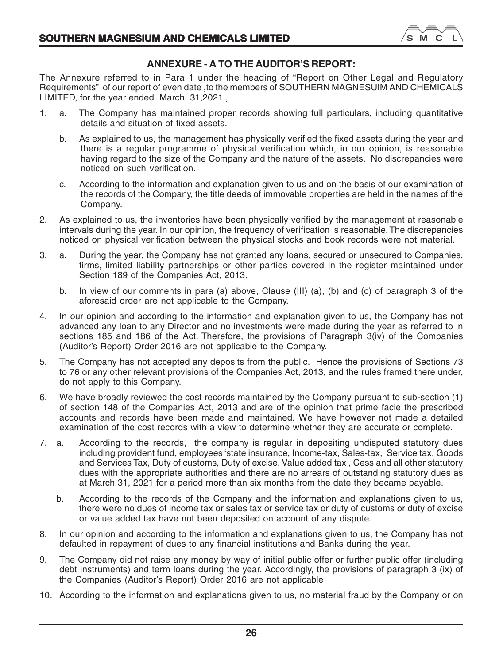

# **ANNEXURE - A TO THE AUDITOR'S REPORT:**

The Annexure referred to in Para 1 under the heading of "Report on Other Legal and Regulatory Requirements" of our report of even date ,to the members of SOUTHERN MAGNESUIM AND CHEMICALS LIMITED, for the year ended March 31,2021.,

- 1. a. The Company has maintained proper records showing full particulars, including quantitative details and situation of fixed assets.
	- b. As explained to us, the management has physically verified the fixed assets during the year and there is a regular programme of physical verification which, in our opinion, is reasonable having regard to the size of the Company and the nature of the assets. No discrepancies were noticed on such verification.
	- c. According to the information and explanation given to us and on the basis of our examination of the records of the Company, the title deeds of immovable properties are held in the names of the Company.
- 2. As explained to us, the inventories have been physically verified by the management at reasonable intervals during the year. In our opinion, the frequency of verification is reasonable. The discrepancies noticed on physical verification between the physical stocks and book records were not material.
- 3. a. During the year, the Company has not granted any loans, secured or unsecured to Companies, firms, limited liability partnerships or other parties covered in the register maintained under Section 189 of the Companies Act, 2013.
	- b. In view of our comments in para (a) above, Clause (III) (a), (b) and (c) of paragraph 3 of the aforesaid order are not applicable to the Company.
- 4. In our opinion and according to the information and explanation given to us, the Company has not advanced any loan to any Director and no investments were made during the year as referred to in sections 185 and 186 of the Act. Therefore, the provisions of Paragraph 3(iv) of the Companies (Auditor's Report) Order 2016 are not applicable to the Company.
- 5. The Company has not accepted any deposits from the public. Hence the provisions of Sections 73 to 76 or any other relevant provisions of the Companies Act, 2013, and the rules framed there under, do not apply to this Company.
- 6. We have broadly reviewed the cost records maintained by the Company pursuant to sub-section (1) of section 148 of the Companies Act, 2013 and are of the opinion that prime facie the prescribed accounts and records have been made and maintained. We have however not made a detailed examination of the cost records with a view to determine whether they are accurate or complete.
- 7. a. According to the records, the company is regular in depositing undisputed statutory dues including provident fund, employees 'state insurance, Income-tax, Sales-tax, Service tax, Goods and Services Tax, Duty of customs, Duty of excise, Value added tax , Cess and all other statutory dues with the appropriate authorities and there are no arrears of outstanding statutory dues as at March 31, 2021 for a period more than six months from the date they became payable.
	- b. According to the records of the Company and the information and explanations given to us, there were no dues of income tax or sales tax or service tax or duty of customs or duty of excise or value added tax have not been deposited on account of any dispute.
- 8. In our opinion and according to the information and explanations given to us, the Company has not defaulted in repayment of dues to any financial institutions and Banks during the year.
- 9. The Company did not raise any money by way of initial public offer or further public offer (including debt instruments) and term loans during the year. Accordingly, the provisions of paragraph 3 (ix) of the Companies (Auditor's Report) Order 2016 are not applicable
- 10. According to the information and explanations given to us, no material fraud by the Company or on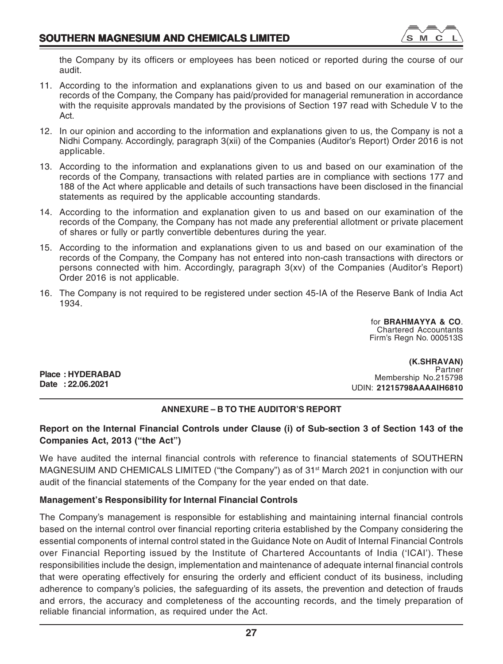

the Company by its officers or employees has been noticed or reported during the course of our audit.

- 11. According to the information and explanations given to us and based on our examination of the records of the Company, the Company has paid/provided for managerial remuneration in accordance with the requisite approvals mandated by the provisions of Section 197 read with Schedule V to the Act.
- 12. In our opinion and according to the information and explanations given to us, the Company is not a Nidhi Company. Accordingly, paragraph 3(xii) of the Companies (Auditor's Report) Order 2016 is not applicable.
- 13. According to the information and explanations given to us and based on our examination of the records of the Company, transactions with related parties are in compliance with sections 177 and 188 of the Act where applicable and details of such transactions have been disclosed in the financial statements as required by the applicable accounting standards.
- 14. According to the information and explanation given to us and based on our examination of the records of the Company, the Company has not made any preferential allotment or private placement of shares or fully or partly convertible debentures during the year.
- 15. According to the information and explanations given to us and based on our examination of the records of the Company, the Company has not entered into non-cash transactions with directors or persons connected with him. Accordingly, paragraph 3(xv) of the Companies (Auditor's Report) Order 2016 is not applicable.
- 16. The Company is not required to be registered under section 45-IA of the Reserve Bank of India Act 1934.

for **BRAHMAYYA & CO**. Chartered Accountants Firm's Regn No. 000513S

**Place : HYDERABAD Date : 22.06.2021**

**(K.SHRAVAN) Partner** Membership No.215798 UDIN: **21215798AAAAIH6810**

# **ANNEXURE – B TO THE AUDITOR'S REPORT**

# **Report on the Internal Financial Controls under Clause (i) of Sub-section 3 of Section 143 of the Companies Act, 2013 ("the Act")**

We have audited the internal financial controls with reference to financial statements of SOUTHERN MAGNESUIM AND CHEMICALS LIMITED ("the Company") as of 31<sup>st</sup> March 2021 in conjunction with our audit of the financial statements of the Company for the year ended on that date.

# **Management's Responsibility for Internal Financial Controls**

The Company's management is responsible for establishing and maintaining internal financial controls based on the internal control over financial reporting criteria established by the Company considering the essential components of internal control stated in the Guidance Note on Audit of Internal Financial Controls over Financial Reporting issued by the Institute of Chartered Accountants of India ('ICAI'). These responsibilities include the design, implementation and maintenance of adequate internal financial controls that were operating effectively for ensuring the orderly and efficient conduct of its business, including adherence to company's policies, the safeguarding of its assets, the prevention and detection of frauds and errors, the accuracy and completeness of the accounting records, and the timely preparation of reliable financial information, as required under the Act.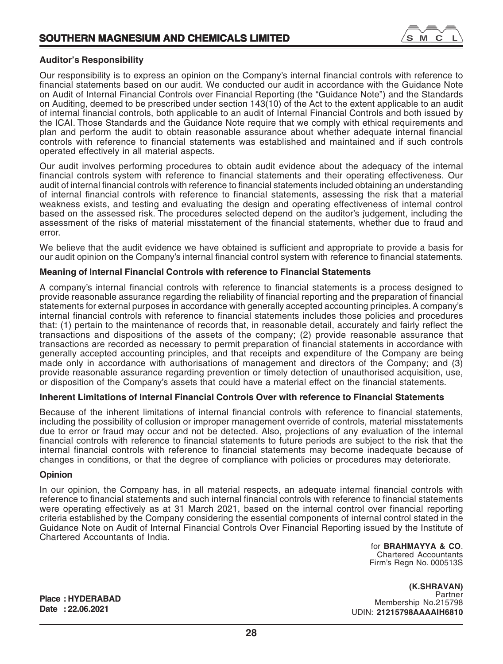

# **Auditor's Responsibility**

Our responsibility is to express an opinion on the Company's internal financial controls with reference to financial statements based on our audit. We conducted our audit in accordance with the Guidance Note on Audit of Internal Financial Controls over Financial Reporting (the "Guidance Note") and the Standards on Auditing, deemed to be prescribed under section 143(10) of the Act to the extent applicable to an audit of internal financial controls, both applicable to an audit of Internal Financial Controls and both issued by the ICAI. Those Standards and the Guidance Note require that we comply with ethical requirements and plan and perform the audit to obtain reasonable assurance about whether adequate internal financial controls with reference to financial statements was established and maintained and if such controls operated effectively in all material aspects.

Our audit involves performing procedures to obtain audit evidence about the adequacy of the internal financial controls system with reference to financial statements and their operating effectiveness. Our audit of internal financial controls with reference to financial statements included obtaining an understanding of internal financial controls with reference to financial statements, assessing the risk that a material weakness exists, and testing and evaluating the design and operating effectiveness of internal control based on the assessed risk. The procedures selected depend on the auditor's judgement, including the assessment of the risks of material misstatement of the financial statements, whether due to fraud and error.

We believe that the audit evidence we have obtained is sufficient and appropriate to provide a basis for our audit opinion on the Company's internal financial control system with reference to financial statements.

# **Meaning of Internal Financial Controls with reference to Financial Statements**

A company's internal financial controls with reference to financial statements is a process designed to provide reasonable assurance regarding the reliability of financial reporting and the preparation of financial statements for external purposes in accordance with generally accepted accounting principles. A company's internal financial controls with reference to financial statements includes those policies and procedures that: (1) pertain to the maintenance of records that, in reasonable detail, accurately and fairly reflect the transactions and dispositions of the assets of the company; (2) provide reasonable assurance that transactions are recorded as necessary to permit preparation of financial statements in accordance with generally accepted accounting principles, and that receipts and expenditure of the Company are being made only in accordance with authorisations of management and directors of the Company; and (3) provide reasonable assurance regarding prevention or timely detection of unauthorised acquisition, use, or disposition of the Company's assets that could have a material effect on the financial statements.

# **Inherent Limitations of Internal Financial Controls Over with reference to Financial Statements**

Because of the inherent limitations of internal financial controls with reference to financial statements, including the possibility of collusion or improper management override of controls, material misstatements due to error or fraud may occur and not be detected. Also, projections of any evaluation of the internal financial controls with reference to financial statements to future periods are subject to the risk that the internal financial controls with reference to financial statements may become inadequate because of changes in conditions, or that the degree of compliance with policies or procedures may deteriorate.

# **Opinion**

In our opinion, the Company has, in all material respects, an adequate internal financial controls with reference to financial statements and such internal financial controls with reference to financial statements were operating effectively as at 31 March 2021, based on the internal control over financial reporting criteria established by the Company considering the essential components of internal control stated in the Guidance Note on Audit of Internal Financial Controls Over Financial Reporting issued by the Institute of Chartered Accountants of India.

for **BRAHMAYYA & CO**. Chartered Accountants Firm's Regn No. 000513S

**(K.SHRAVAN)** Partner Membership No.215798 UDIN: **21215798AAAAIH6810**

**Place : HYDERABAD Date : 22.06.2021**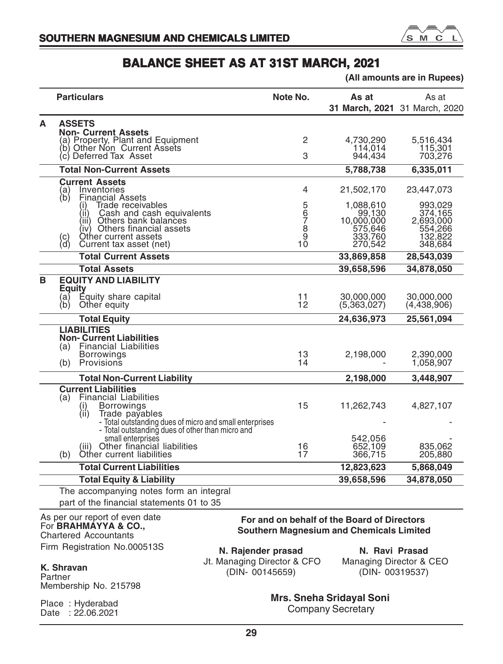

|   |                                                                                                                                                             | (All amounts are in Rupees)                                                                    |                               |                                        |  |
|---|-------------------------------------------------------------------------------------------------------------------------------------------------------------|------------------------------------------------------------------------------------------------|-------------------------------|----------------------------------------|--|
|   | <b>Particulars</b>                                                                                                                                          | Note No.                                                                                       | As at                         | As at<br>31 March, 2021 31 March, 2020 |  |
| A | <b>ASSETS</b>                                                                                                                                               |                                                                                                |                               |                                        |  |
|   | <b>Non- Current Assets</b><br>(a) Property, Plant and Equipment                                                                                             | 2                                                                                              | 4,730,290                     | 5,516,434                              |  |
|   | (b) Other Non Current Assets                                                                                                                                |                                                                                                | 114,014                       | 115,301                                |  |
|   | (c) Deferred Tax Asset                                                                                                                                      | З                                                                                              | 944.434                       | 703,276                                |  |
|   | <b>Total Non-Current Assets</b>                                                                                                                             |                                                                                                | 5,788,738                     | 6,335,011                              |  |
|   | <b>Current Assets</b><br>Inventories<br>(a)<br>(b)<br>Financial Assets                                                                                      | 4                                                                                              | 21,502,170                    | 23,447,073                             |  |
|   | Trade receivables                                                                                                                                           |                                                                                                | 1,088,610                     | 993,029                                |  |
|   | Cash and cash equivalents<br>(11)<br>Others bank balances<br>(iii)                                                                                          |                                                                                                | 99,130<br>10,000,000          | 374.165<br>2,693,000                   |  |
|   | (iv) Others financial assets                                                                                                                                |                                                                                                | 575,646                       | 554,266                                |  |
|   | Other current assets<br>(c)<br>(d)<br>Current tax asset (net)                                                                                               | 5<br>67<br>67<br>10<br>10                                                                      | 333,760<br>270,542            | 132,822<br>348,684                     |  |
|   | <b>Total Current Assets</b>                                                                                                                                 |                                                                                                | 33,869,858                    | 28,543,039                             |  |
|   | <b>Total Assets</b>                                                                                                                                         |                                                                                                | 39,658,596                    | 34,878,050                             |  |
| в | <b>EQUITY AND LIABILITY</b>                                                                                                                                 |                                                                                                |                               |                                        |  |
|   | <b>Equity</b><br>Equity share capital<br>(a)<br>(b)<br>Other equity                                                                                         | 11<br>12                                                                                       | 30.000.000<br>(5,363,027)     | 30,000,000<br>(4,438,906)              |  |
|   | <b>Total Equity</b>                                                                                                                                         |                                                                                                | 24,636,973                    | 25,561,094                             |  |
|   | <b>LIABILITIES</b><br><b>Non- Current Liabilities</b><br><b>Financial Liabilities</b><br>(a)                                                                |                                                                                                |                               |                                        |  |
|   | <b>Borrowings</b><br>Provisions<br>(b)                                                                                                                      | 13<br>14                                                                                       | 2,198,000                     | 2,390,000<br>1,058,907                 |  |
|   | <b>Total Non-Current Liability</b>                                                                                                                          |                                                                                                | 2,198,000                     | 3,448,907                              |  |
|   | <b>Current Liabilities</b><br><b>Financial Liabilities</b><br>(a)<br><b>Borrowings</b><br>(۱)                                                               | 15                                                                                             | 11,262,743                    | 4,827,107                              |  |
|   | $\langle \hat{ii} \rangle$<br>Trade payables<br>- Total outstanding dues of micro and small enterprises<br>- Total outstanding dues of other than micro and |                                                                                                |                               |                                        |  |
|   | small enterprises<br>(iii) Other financial liabilities<br>(b)<br>Other current liabilities                                                                  | 16<br>17                                                                                       | 542,056<br>652,109<br>366,715 | 835,062<br>205,880                     |  |
|   | <b>Total Current Liabilities</b>                                                                                                                            |                                                                                                | 12,823,623                    | 5,868,049                              |  |
|   | <b>Total Equity &amp; Liability</b>                                                                                                                         |                                                                                                | 39,658,596                    | 34,878,050                             |  |
|   | The accompanying notes form an integral                                                                                                                     |                                                                                                |                               |                                        |  |
|   | part of the financial statements 01 to 35                                                                                                                   |                                                                                                |                               |                                        |  |
|   | As per our report of even date<br>For <b>BRAHMAYYA &amp; CO.,</b><br><b>Chartered Accountants</b>                                                           | For and on behalf of the Board of Directors<br><b>Southern Magnesium and Chemicals Limited</b> |                               |                                        |  |

Firm Registration No.000513S

**K. Shravan** Partner Membership No. 215798

Place : Hyderabad Date : 22.06.2021

**N. Rajender prasad** Jt. Managing Director & CFO (DIN- 00145659)

**N. Ravi Prasad** Managing Director & CEO (DIN- 00319537)

**Mrs. Sneha Sridayal Soni** Company Secretary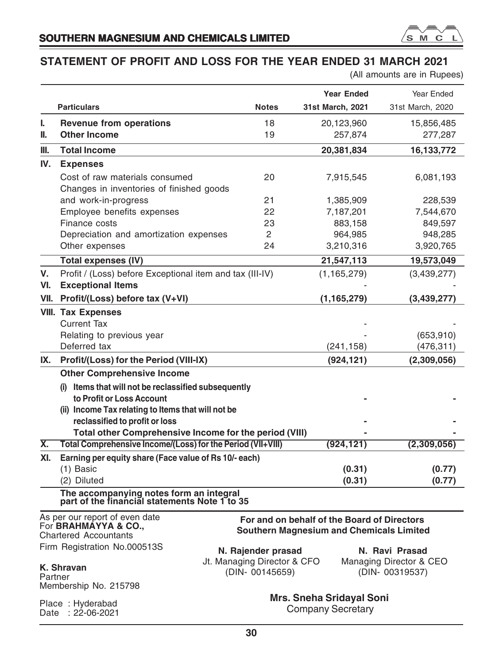

# **STATEMENT OF PROFIT AND LOSS FOR THE YEAR ENDED 31 MARCH 2021**

(All amounts are in Rupees)

|         |                                                                                                                       |                             | <b>Year Ended</b>                                                                              | Year Ended              |
|---------|-----------------------------------------------------------------------------------------------------------------------|-----------------------------|------------------------------------------------------------------------------------------------|-------------------------|
|         | <b>Particulars</b>                                                                                                    | <b>Notes</b>                | 31st March, 2021                                                                               | 31st March, 2020        |
| ı.      | <b>Revenue from operations</b>                                                                                        | 18                          | 20,123,960                                                                                     | 15,856,485              |
| II.     | <b>Other Income</b>                                                                                                   | 19                          | 257,874                                                                                        | 277,287                 |
| III.    | <b>Total Income</b>                                                                                                   |                             | 20,381,834                                                                                     | 16,133,772              |
| IV.     | <b>Expenses</b>                                                                                                       |                             |                                                                                                |                         |
|         | Cost of raw materials consumed                                                                                        | 20                          | 7,915,545                                                                                      | 6,081,193               |
|         | Changes in inventories of finished goods                                                                              |                             |                                                                                                |                         |
|         | and work-in-progress                                                                                                  | 21                          | 1,385,909                                                                                      | 228,539                 |
|         | Employee benefits expenses                                                                                            | 22                          | 7,187,201                                                                                      | 7,544,670               |
|         | Finance costs                                                                                                         | 23                          | 883,158                                                                                        | 849,597                 |
|         | Depreciation and amortization expenses                                                                                | 2                           | 964,985                                                                                        | 948,285                 |
|         | Other expenses                                                                                                        | 24                          | 3,210,316                                                                                      | 3,920,765               |
|         | <b>Total expenses (IV)</b>                                                                                            |                             | 21,547,113                                                                                     | 19,573,049              |
| V.      | Profit / (Loss) before Exceptional item and tax (III-IV)                                                              |                             | (1, 165, 279)                                                                                  | (3,439,277)             |
| VI.     | <b>Exceptional Items</b>                                                                                              |                             |                                                                                                |                         |
| VII.    | Profit/(Loss) before tax (V+VI)                                                                                       |                             | (1, 165, 279)                                                                                  | (3,439,277)             |
|         | <b>VIII. Tax Expenses</b>                                                                                             |                             |                                                                                                |                         |
|         | <b>Current Tax</b>                                                                                                    |                             |                                                                                                |                         |
|         | Relating to previous year                                                                                             |                             |                                                                                                | (653, 910)              |
|         | Deferred tax                                                                                                          |                             | (241, 158)                                                                                     | (476, 311)              |
| IX.     | Profit/(Loss) for the Period (VIII-IX)                                                                                |                             | (924, 121)                                                                                     | (2,309,056)             |
|         | <b>Other Comprehensive Income</b>                                                                                     |                             |                                                                                                |                         |
|         | (i) Items that will not be reclassified subsequently                                                                  |                             |                                                                                                |                         |
|         | to Profit or Loss Account                                                                                             |                             |                                                                                                |                         |
|         | (ii) Income Tax relating to Items that will not be                                                                    |                             |                                                                                                |                         |
|         | reclassified to profit or loss                                                                                        |                             |                                                                                                |                         |
| Χ.      | Total other Comprehensive Income for the period (VIII)<br>Total Comprehensive Income/(Loss) for the Period (VII+VIII) |                             |                                                                                                |                         |
|         |                                                                                                                       |                             | (924, 121)                                                                                     | (2,309,056)             |
| XI.     | Earning per equity share (Face value of Rs 10/- each)                                                                 |                             |                                                                                                |                         |
|         | (1) Basic<br>(2) Diluted                                                                                              |                             | (0.31)<br>(0.31)                                                                               | (0.77)<br>(0.77)        |
|         | The accompanying notes form an integral<br>part of the financial statements Note 1 to 35                              |                             |                                                                                                |                         |
|         |                                                                                                                       |                             |                                                                                                |                         |
|         | As per our report of even date<br>For BRAHMAYYA & CO.,<br><b>Chartered Accountants</b>                                |                             | For and on behalf of the Board of Directors<br><b>Southern Magnesium and Chemicals Limited</b> |                         |
|         | Firm Registration No.000513S                                                                                          | N. Rajender prasad          |                                                                                                | N. Ravi Prasad          |
|         |                                                                                                                       | Jt. Managing Director & CFO |                                                                                                | Managing Director & CEO |
|         | K. Shravan                                                                                                            | (DIN- 00145659)             |                                                                                                | (DIN- 00319537)         |
| Partner | Membership No. 215798                                                                                                 |                             |                                                                                                |                         |
|         |                                                                                                                       |                             | <b>Mrs. Sneha Sridayal Soni</b>                                                                |                         |
|         | Place: Hyderabad<br>Date: $2\dot{2} - 06 - 2021$                                                                      |                             | <b>Company Secretary</b>                                                                       |                         |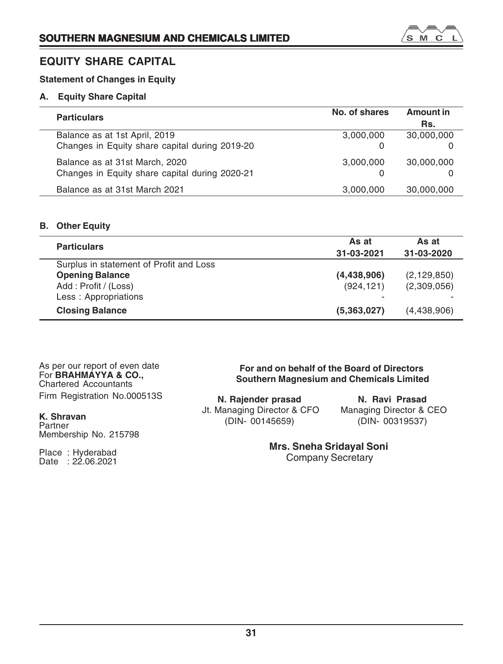# **EQUITY SHARE CAPITAL**

# **Statement of Changes in Equity**

# **A. Equity Share Capital**

| <b>Particulars</b>                             | No. of shares | Amount in  |
|------------------------------------------------|---------------|------------|
|                                                |               | Rs.        |
| Balance as at 1st April, 2019                  | 3,000,000     | 30,000,000 |
| Changes in Equity share capital during 2019-20 | 0             |            |
| Balance as at 31st March, 2020                 | 3,000,000     | 30,000,000 |
| Changes in Equity share capital during 2020-21 | $\Omega$      |            |
| Balance as at 31st March 2021                  | 3,000,000     | 30,000,000 |

# **B. Other Equity**

| <b>Particulars</b>                      | As at                    | As at         |
|-----------------------------------------|--------------------------|---------------|
|                                         | 31-03-2021               | 31-03-2020    |
| Surplus in statement of Profit and Loss |                          |               |
| <b>Opening Balance</b>                  | (4, 438, 906)            | (2, 129, 850) |
| Add: Profit / (Loss)                    | (924, 121)               | (2,309,056)   |
| Less: Appropriations                    | $\overline{\phantom{0}}$ |               |
| <b>Closing Balance</b>                  | (5,363,027)              | (4,438,906)   |

As per our report of even date For **BRAHMAYYA & CO.,** Chartered Accountants Firm Registration No.000513S

**For and on behalf of the Board of Directors Southern Magnesium and Chemicals Limited**

**N. Rajender prasad** Jt. Managing Director & CFO (DIN- 00145659)

**N. Ravi Prasad** Managing Director & CEO (DIN- 00319537)

**Mrs. Sneha Sridayal Soni**

Company Secretary

# **K. Shravan** Partner

Membership No. 215798

Place : Hyderabad Date : 22.06.2021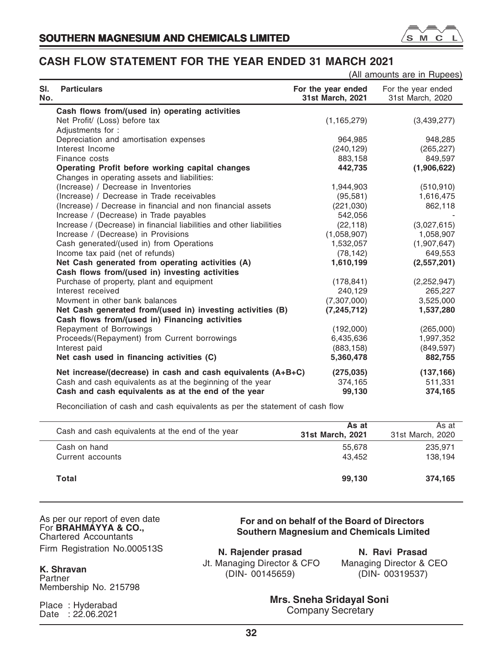

# **CASH FLOW STATEMENT FOR THE YEAR ENDED 31 MARCH 2021**

|                                                                                                                                                                                  |                                        | (All amounts are in Rupees)            |
|----------------------------------------------------------------------------------------------------------------------------------------------------------------------------------|----------------------------------------|----------------------------------------|
| SI.<br><b>Particulars</b><br>No.                                                                                                                                                 | For the year ended<br>31st March, 2021 | For the year ended<br>31st March, 2020 |
| Cash flows from/(used in) operating activities                                                                                                                                   |                                        |                                        |
| Net Profit/ (Loss) before tax                                                                                                                                                    | (1, 165, 279)                          | (3,439,277)                            |
| Adjustments for:                                                                                                                                                                 |                                        |                                        |
| Depreciation and amortisation expenses                                                                                                                                           | 964,985                                | 948,285                                |
| Interest Income                                                                                                                                                                  | (240, 129)                             | (265, 227)                             |
| Finance costs                                                                                                                                                                    | 883,158                                | 849,597                                |
| Operating Profit before working capital changes<br>Changes in operating assets and liabilities:                                                                                  | 442,735                                | (1,906,622)                            |
| (Increase) / Decrease in Inventories                                                                                                                                             | 1,944,903                              | (510, 910)                             |
| (Increase) / Decrease in Trade receivables                                                                                                                                       | (95,581)                               | 1,616,475                              |
| (Increase) / Decrease in financial and non financial assets                                                                                                                      | (221,030)                              | 862,118                                |
| Increase / (Decrease) in Trade payables                                                                                                                                          | 542,056                                |                                        |
| Increase / (Decrease) in financial liabilities and other liabilities                                                                                                             | (22, 118)                              | (3,027,615)                            |
| Increase / (Decrease) in Provisions                                                                                                                                              | (1,058,907)                            | 1,058,907                              |
| Cash generated/(used in) from Operations                                                                                                                                         | 1,532,057                              | (1,907,647)                            |
| Income tax paid (net of refunds)                                                                                                                                                 | (78, 142)                              | 649,553                                |
| Net Cash generated from operating activities (A)                                                                                                                                 | 1,610,199                              | (2,557,201)                            |
| Cash flows from/(used in) investing activities                                                                                                                                   |                                        |                                        |
| Purchase of property, plant and equipment                                                                                                                                        | (178, 841)                             | (2,252,947)                            |
| Interest received                                                                                                                                                                | 240.129                                | 265,227                                |
| Movment in other bank balances                                                                                                                                                   | (7,307,000)                            | 3,525,000                              |
| Net Cash generated from/(used in) investing activities (B)                                                                                                                       | (7, 245, 712)                          | 1,537,280                              |
| Cash flows from/(used in) Financing activities                                                                                                                                   |                                        |                                        |
| Repayment of Borrowings                                                                                                                                                          | (192,000)                              | (265,000)                              |
| Proceeds/(Repayment) from Current borrowings<br>Interest paid                                                                                                                    | 6,435,636<br>(883, 158)                | 1,997,352<br>(849, 597)                |
| Net cash used in financing activities (C)                                                                                                                                        | 5,360,478                              | 882,755                                |
| Net increase/(decrease) in cash and cash equivalents (A+B+C)<br>Cash and cash equivalents as at the beginning of the year<br>Cash and cash equivalents as at the end of the year | (275, 035)<br>374,165<br>99,130        | (137, 166)<br>511,331<br>374,165       |

Reconciliation of cash and cash equivalents as per the statement of cash flow

| Cash and cash equivalents at the end of the year | As at<br>31st March, 2021 | As at<br>31st March, 2020 |
|--------------------------------------------------|---------------------------|---------------------------|
| Cash on hand<br>Current accounts                 | 55,678<br>43.452          | 235.971<br>138.194        |
| Total                                            | 99.130                    | 374,165                   |

# As per our report of even date For **BRAHMAYYA & CO.,** Chartered Accountants Firm Registration No.000513S

# **K. Shravan**

Partner Membership No. 215798

Place : Hyderabad Date : 22.06.2021

**For and on behalf of the Board of Directors Southern Magnesium and Chemicals Limited**

**N. Rajender prasad** Jt. Managing Director & CFO (DIN- 00145659)

**N. Ravi Prasad** Managing Director & CEO (DIN- 00319537)

**Mrs. Sneha Sridayal Soni** Company Secretary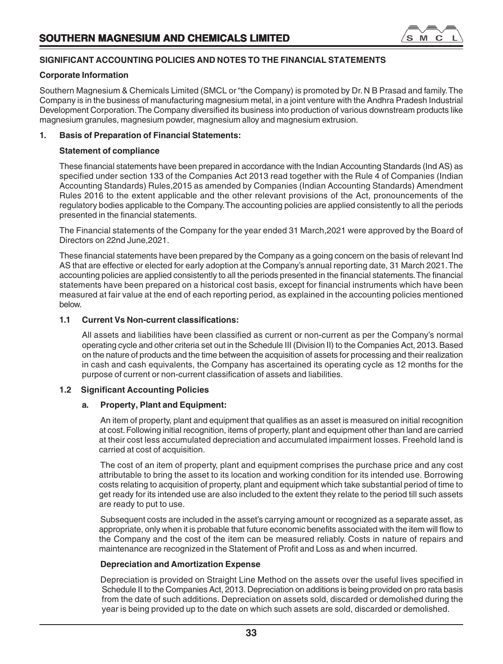

# **SIGNIFICANT ACCOUNTING POLICIES AND NOTES TO THE FINANCIAL STATEMENTS**

# **Corporate Information**

Southern Magnesium & Chemicals Limited (SMCL or "the Company) is promoted by Dr. N B Prasad and family. The Company is in the business of manufacturing magnesium metal, in a joint venture with the Andhra Pradesh Industrial Development Corporation. The Company diversified its business into production of various downstream products like magnesium granules, magnesium powder, magnesium alloy and magnesium extrusion.

# **1. Basis of Preparation of Financial Statements:**

# **Statement of compliance**

These financial statements have been prepared in accordance with the Indian Accounting Standards (Ind AS) as specified under section 133 of the Companies Act 2013 read together with the Rule 4 of Companies (Indian Accounting Standards) Rules,2015 as amended by Companies (Indian Accounting Standards) Amendment Rules 2016 to the extent applicable and the other relevant provisions of the Act, pronouncements of the regulatory bodies applicable to the Company. The accounting policies are applied consistently to all the periods presented in the financial statements.

The Financial statements of the Company for the year ended 31 March,2021 were approved by the Board of Directors on 22nd June,2021.

These financial statements have been prepared by the Company as a going concern on the basis of relevant Ind AS that are effective or elected for early adoption at the Company's annual reporting date, 31 March 2021. The accounting policies are applied consistently to all the periods presented in the financial statements. The financial statements have been prepared on a historical cost basis, except for financial instruments which have been measured at fair value at the end of each reporting period, as explained in the accounting policies mentioned below.

# **1.1 Current Vs Non-current classifications:**

All assets and liabilities have been classified as current or non-current as per the Company's normal operating cycle and other criteria set out in the Schedule III (Division II) to the Companies Act, 2013. Based on the nature of products and the time between the acquisition of assets for processing and their realization in cash and cash equivalents, the Company has ascertained its operating cycle as 12 months for the purpose of current or non-current classification of assets and liabilities.

# **1.2 Significant Accounting Policies**

# **a. Property, Plant and Equipment:**

An item of property, plant and equipment that qualifies as an asset is measured on initial recognition at cost. Following initial recognition, items of property, plant and equipment other than land are carried at their cost less accumulated depreciation and accumulated impairment losses. Freehold land is carried at cost of acquisition.

The cost of an item of property, plant and equipment comprises the purchase price and any cost attributable to bring the asset to its location and working condition for its intended use. Borrowing costs relating to acquisition of property, plant and equipment which take substantial period of time to get ready for its intended use are also included to the extent they relate to the period till such assets are ready to put to use.

Subsequent costs are included in the asset's carrying amount or recognized as a separate asset, as appropriate, only when it is probable that future economic benefits associated with the item will flow to the Company and the cost of the item can be measured reliably. Costs in nature of repairs and maintenance are recognized in the Statement of Profit and Loss as and when incurred.

# **Depreciation and Amortization Expense**

Depreciation is provided on Straight Line Method on the assets over the useful lives specified in Schedule II to the Companies Act, 2013. Depreciation on additions is being provided on pro rata basis from the date of such additions. Depreciation on assets sold, discarded or demolished during the year is being provided up to the date on which such assets are sold, discarded or demolished.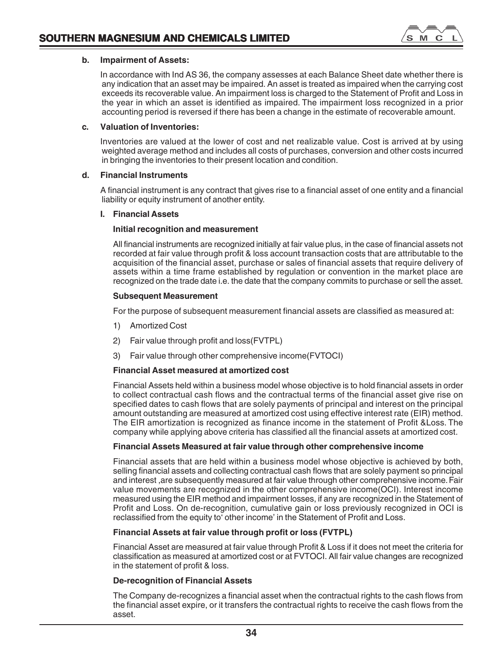

# **b. Impairment of Assets:**

In accordance with Ind AS 36, the company assesses at each Balance Sheet date whether there is any indication that an asset may be impaired. An asset is treated as impaired when the carrying cost exceeds its recoverable value. An impairment loss is charged to the Statement of Profit and Loss in the year in which an asset is identified as impaired. The impairment loss recognized in a prior accounting period is reversed if there has been a change in the estimate of recoverable amount.

# **c. Valuation of Inventories:**

Inventories are valued at the lower of cost and net realizable value. Cost is arrived at by using weighted average method and includes all costs of purchases, conversion and other costs incurred in bringing the inventories to their present location and condition.

# **d. Financial Instruments**

A financial instrument is any contract that gives rise to a financial asset of one entity and a financial liability or equity instrument of another entity.

# **I. Financial Assets**

# **Initial recognition and measurement**

All financial instruments are recognized initially at fair value plus, in the case of financial assets not recorded at fair value through profit & loss account transaction costs that are attributable to the acquisition of the financial asset, purchase or sales of financial assets that require delivery of assets within a time frame established by regulation or convention in the market place are recognized on the trade date i.e. the date that the company commits to purchase or sell the asset.

# **Subsequent Measurement**

For the purpose of subsequent measurement financial assets are classified as measured at:

- 1) Amortized Cost
- 2) Fair value through profit and loss(FVTPL)
- 3) Fair value through other comprehensive income(FVTOCI)

# **Financial Asset measured at amortized cost**

Financial Assets held within a business model whose objective is to hold financial assets in order to collect contractual cash flows and the contractual terms of the financial asset give rise on specified dates to cash flows that are solely payments of principal and interest on the principal amount outstanding are measured at amortized cost using effective interest rate (EIR) method. The EIR amortization is recognized as finance income in the statement of Profit &Loss. The company while applying above criteria has classified all the financial assets at amortized cost.

# **Financial Assets Measured at fair value through other comprehensive income**

Financial assets that are held within a business model whose objective is achieved by both, selling financial assets and collecting contractual cash flows that are solely payment so principal and interest ,are subsequently measured at fair value through other comprehensive income. Fair value movements are recognized in the other comprehensive income(OCI). Interest income measured using the EIR method and impairment losses, if any are recognized in the Statement of Profit and Loss. On de-recognition, cumulative gain or loss previously recognized in OCI is reclassified from the equity to' other income' in the Statement of Profit and Loss.

# **Financial Assets at fair value through profit or loss (FVTPL)**

Financial Asset are measured at fair value through Profit & Loss if it does not meet the criteria for classification as measured at amortized cost or at FVTOCI. All fair value changes are recognized in the statement of profit & loss.

# **De-recognition of Financial Assets**

The Company de-recognizes a financial asset when the contractual rights to the cash flows from the financial asset expire, or it transfers the contractual rights to receive the cash flows from the asset.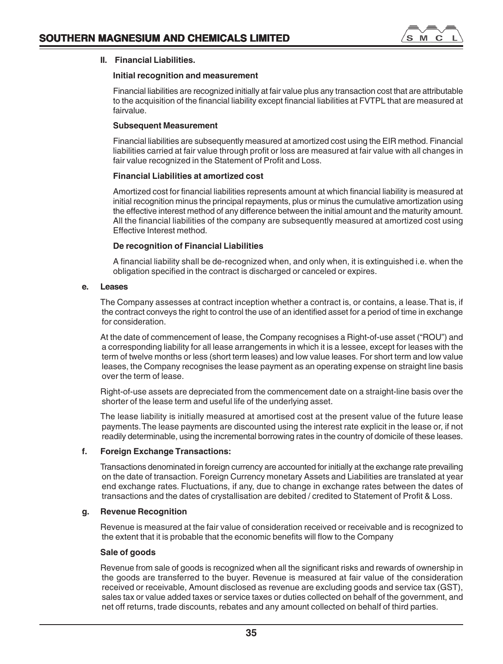

# **II. Financial Liabilities.**

# **Initial recognition and measurement**

Financial liabilities are recognized initially at fair value plus any transaction cost that are attributable to the acquisition of the financial liability except financial liabilities at FVTPL that are measured at fairvalue.

# **Subsequent Measurement**

Financial liabilities are subsequently measured at amortized cost using the EIR method. Financial liabilities carried at fair value through profit or loss are measured at fair value with all changes in fair value recognized in the Statement of Profit and Loss.

# **Financial Liabilities at amortized cost**

Amortized cost for financial liabilities represents amount at which financial liability is measured at initial recognition minus the principal repayments, plus or minus the cumulative amortization using the effective interest method of any difference between the initial amount and the maturity amount. All the financial liabilities of the company are subsequently measured at amortized cost using Effective Interest method.

# **De recognition of Financial Liabilities**

A financial liability shall be de-recognized when, and only when, it is extinguished i.e. when the obligation specified in the contract is discharged or canceled or expires.

# **e. Leases**

The Company assesses at contract inception whether a contract is, or contains, a lease. That is, if the contract conveys the right to control the use of an identified asset for a period of time in exchange for consideration.

At the date of commencement of lease, the Company recognises a Right-of-use asset ("ROU") and a corresponding liability for all lease arrangements in which it is a lessee, except for leases with the term of twelve months or less (short term leases) and low value leases. For short term and low value leases, the Company recognises the lease payment as an operating expense on straight line basis over the term of lease.

Right-of-use assets are depreciated from the commencement date on a straight-line basis over the shorter of the lease term and useful life of the underlying asset.

The lease liability is initially measured at amortised cost at the present value of the future lease payments. The lease payments are discounted using the interest rate explicit in the lease or, if not readily determinable, using the incremental borrowing rates in the country of domicile of these leases.

# **f. Foreign Exchange Transactions:**

Transactions denominated in foreign currency are accounted for initially at the exchange rate prevailing on the date of transaction. Foreign Currency monetary Assets and Liabilities are translated at year end exchange rates. Fluctuations, if any, due to change in exchange rates between the dates of transactions and the dates of crystallisation are debited / credited to Statement of Profit & Loss.

# **g. Revenue Recognition**

Revenue is measured at the fair value of consideration received or receivable and is recognized to the extent that it is probable that the economic benefits will flow to the Company

# **Sale of goods**

Revenue from sale of goods is recognized when all the significant risks and rewards of ownership in the goods are transferred to the buyer. Revenue is measured at fair value of the consideration received or receivable, Amount disclosed as revenue are excluding goods and service tax (GST), sales tax or value added taxes or service taxes or duties collected on behalf of the government, and net off returns, trade discounts, rebates and any amount collected on behalf of third parties.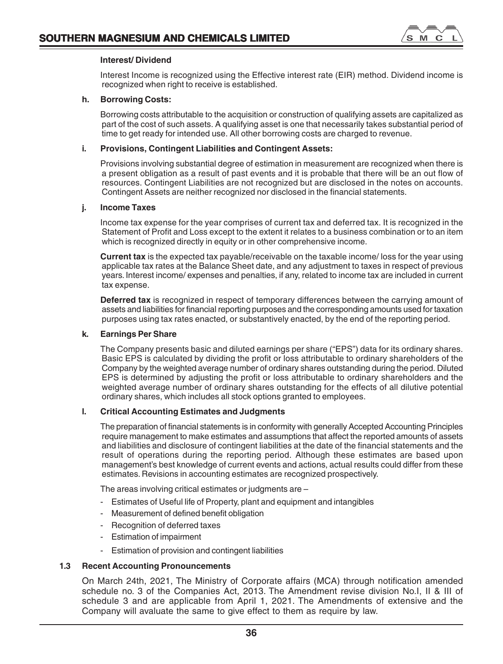

# **Interest/ Dividend**

Interest Income is recognized using the Effective interest rate (EIR) method. Dividend income is recognized when right to receive is established.

# **h. Borrowing Costs:**

Borrowing costs attributable to the acquisition or construction of qualifying assets are capitalized as part of the cost of such assets. A qualifying asset is one that necessarily takes substantial period of time to get ready for intended use. All other borrowing costs are charged to revenue.

# **i. Provisions, Contingent Liabilities and Contingent Assets:**

Provisions involving substantial degree of estimation in measurement are recognized when there is a present obligation as a result of past events and it is probable that there will be an out flow of resources. Contingent Liabilities are not recognized but are disclosed in the notes on accounts. Contingent Assets are neither recognized nor disclosed in the financial statements.

# **j. Income Taxes**

Income tax expense for the year comprises of current tax and deferred tax. It is recognized in the Statement of Profit and Loss except to the extent it relates to a business combination or to an item which is recognized directly in equity or in other comprehensive income.

**Current tax** is the expected tax payable/receivable on the taxable income/ loss for the year using applicable tax rates at the Balance Sheet date, and any adjustment to taxes in respect of previous years. Interest income/ expenses and penalties, if any, related to income tax are included in current tax expense.

**Deferred tax** is recognized in respect of temporary differences between the carrying amount of assets and liabilities for financial reporting purposes and the corresponding amounts used for taxation purposes using tax rates enacted, or substantively enacted, by the end of the reporting period.

# **k. Earnings Per Share**

The Company presents basic and diluted earnings per share ("EPS") data for its ordinary shares. Basic EPS is calculated by dividing the profit or loss attributable to ordinary shareholders of the Company by the weighted average number of ordinary shares outstanding during the period. Diluted EPS is determined by adjusting the profit or loss attributable to ordinary shareholders and the weighted average number of ordinary shares outstanding for the effects of all dilutive potential ordinary shares, which includes all stock options granted to employees.

# **l. Critical Accounting Estimates and Judgments**

The preparation of financial statements is in conformity with generally Accepted Accounting Principles require management to make estimates and assumptions that affect the reported amounts of assets and liabilities and disclosure of contingent liabilities at the date of the financial statements and the result of operations during the reporting period. Although these estimates are based upon management's best knowledge of current events and actions, actual results could differ from these estimates. Revisions in accounting estimates are recognized prospectively.

The areas involving critical estimates or judgments are –

- Estimates of Useful life of Property, plant and equipment and intangibles
- Measurement of defined benefit obligation
- Recognition of deferred taxes
- Estimation of impairment
- Estimation of provision and contingent liabilities

# **1.3 Recent Accounting Pronouncements**

On March 24th, 2021, The Ministry of Corporate affairs (MCA) through notification amended schedule no. 3 of the Companies Act, 2013. The Amendment revise division No.I, II & III of schedule 3 and are applicable from April 1, 2021. The Amendments of extensive and the Company will avaluate the same to give effect to them as require by law.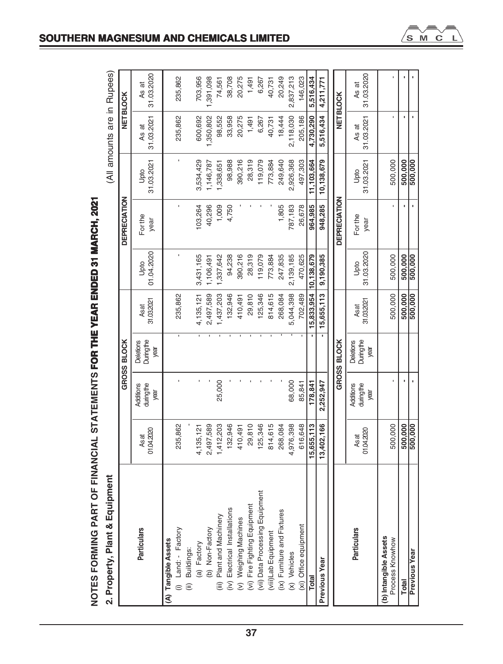# NOTES FORMING PART OF FINANCIAL STATEMENTS FOR THE YEAR ENDED 31 MARCH, 2021 **NOTES FORMING PART OF FINANCIAL STATEMENTS FOR THE YEAR ENDED 31 MARCH, 2021**

2. Property. Plant & Equipment

(All amounts are in Bunees)

| 2. Property, Plant & Equipment                                                                                          |                     |                                 |                                        |                       |                    |                     |                    | (All amounts are in Rupees) |                     |
|-------------------------------------------------------------------------------------------------------------------------|---------------------|---------------------------------|----------------------------------------|-----------------------|--------------------|---------------------|--------------------|-----------------------------|---------------------|
|                                                                                                                         |                     |                                 | GROSS BLOCK                            |                       |                    | DEPRECIATION        |                    |                             | NET BLOCK           |
| <b>Particulars</b>                                                                                                      | 01.04.2020<br>As at | during the<br>Additions<br>year | Duringthe<br>Deletions<br>year         | 31.03.2021<br>Asat    | 01.04.2020<br>Upto | For the<br>year     | 31.03.2021<br>Upto | 31.03.2021<br>As at         | 31.03.2020<br>As at |
| (A) Tangible Assets                                                                                                     |                     |                                 |                                        |                       |                    |                     |                    |                             |                     |
| (i) Land: - Factory                                                                                                     | 235,862             |                                 | ٠                                      | 235,862               |                    |                     |                    | 235,862                     | 235,862             |
| (ii) Buildings:                                                                                                         |                     |                                 |                                        |                       |                    |                     |                    |                             |                     |
| (a) Factory                                                                                                             | 4,135,121           |                                 | Ŧ                                      | 4,135,121             | 3,431,165          | 103,264             | 3,534,429          | 600,692                     | 703,956             |
| (b) Non-Factory                                                                                                         | 2,497,589           |                                 |                                        | 2,497,589             | 1,106,491          | 40,296              | 1,146,787          | 1,350,802                   | 1,391,098           |
| (iii) Plant and Machinery                                                                                               | 1,412,203           | 25,000                          |                                        | 1,437,203             | 1,337,642          | 1,009               | 1,338,651          | 98,552                      | 74,561              |
|                                                                                                                         | 132,946             |                                 |                                        | 132,946               | 94,238             | 4,750               | 98,988             | 33,958                      | 38,708              |
|                                                                                                                         | 410,491             |                                 |                                        | 410,491               | 390,216            |                     | 390,216            | 20,275                      | 20,275              |
| (iv) Electrical Installations<br>(v) Weighing Machines<br>(vi) Fire Fighting Equipment<br>(vii) Data Processing Equipme | 29,810              |                                 |                                        | 29,810                | 28,319             |                     | 28,319             | 1,491                       | 1,491               |
| ipment                                                                                                                  | 125,346             |                                 |                                        | 125,346               | 119,079            |                     | 119,079            | 6,267                       | 6,267               |
| (viii)Lab Equipment                                                                                                     | 814, 615            |                                 |                                        | 814,615               | 773,884            |                     | 773,884            | 40,731                      | 40,731              |
| (ix) Furniture and Fixtures                                                                                             | 268,084             |                                 |                                        | 268,084               | 247,835            | 1,805               | 249,640            | 18,444                      | 20,249              |
| (x) Vehicles                                                                                                            | 4,976,398           | 68,000                          |                                        | 5,044,398             | 2,139,185          | 787,183             | 2,926,368          | 2,118,030                   | 2,837,213           |
| (xi) Office equipment                                                                                                   | 616,648             | 85,841                          |                                        | 702,489               | 470,625            | 26,678              | 497,303            | 205,186                     | 146,023             |
| Total                                                                                                                   | 15,655,113          | 178,841                         |                                        | 15,833,954 10,138,679 |                    | 964,985             | 11,103,664         | 4,730,290                   | 5,516,434           |
| <b>Previous Year</b>                                                                                                    | 13,402,166          | 2,252,947                       |                                        | 15,655,113            | 9,190,385          | 948,285             | 10,138,679         | 5,516,434                   | 4.211.771           |
|                                                                                                                         |                     |                                 | GROSS BLOCK                            |                       |                    | <b>DEPRECIATION</b> |                    |                             | NET BLOCK           |
| <b>Particulars</b>                                                                                                      | 01.04.2020<br>As at | during the<br>Additions<br>year | <b>During the</b><br>Deletions<br>year | 31.03.2021<br>Asat    | 31.03.2020<br>Upto | For the<br>year     | 31.03.2021<br>Upto | 31.03.2021<br>As at         | 31.03.2020<br>As at |
| (b) Intangible Assets<br>Process Knowhow                                                                                | 500,000             |                                 |                                        | 500,000               | 500,000            |                     | 500,000            |                             |                     |
| Total                                                                                                                   | 500,000             |                                 |                                        | 500,000               | 500,000            |                     | 500,000            |                             |                     |
| <b>Previous Year</b>                                                                                                    | 500,000             |                                 |                                        | 500,000               | 500,000            |                     | 500,000            |                             |                     |

# **SOUTHERN MAGNESIUM AND CHEMICALS LIMITED**

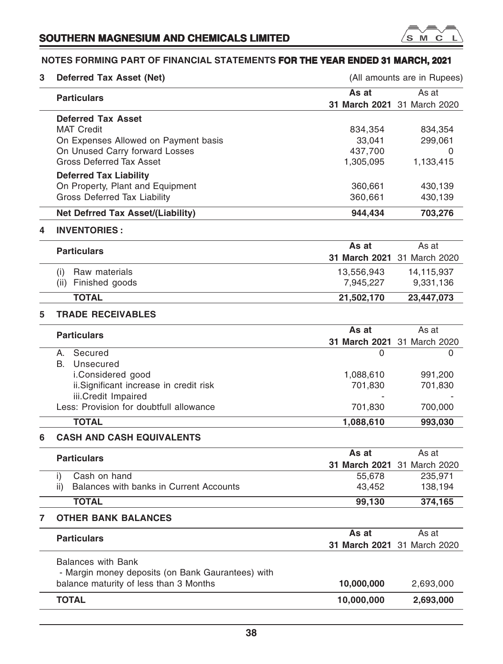

# **NOTES FORMING PART OF FINANCIAL STATEMENTS FOR THE YEAR ENDED 31 MARCH, 2021**

| 3 | <b>Deferred Tax Asset (Net)</b>                   |                             | (All amounts are in Rupees) |
|---|---------------------------------------------------|-----------------------------|-----------------------------|
|   | <b>Particulars</b>                                | As at                       | As at                       |
|   |                                                   | 31 March 2021 31 March 2020 |                             |
|   | <b>Deferred Tax Asset</b>                         |                             |                             |
|   | <b>MAT Credit</b>                                 | 834,354                     | 834,354                     |
|   | On Expenses Allowed on Payment basis              | 33,041                      | 299,061                     |
|   | On Unused Carry forward Losses                    | 437,700                     | 0                           |
|   | <b>Gross Deferred Tax Asset</b>                   | 1,305,095                   | 1,133,415                   |
|   | <b>Deferred Tax Liability</b>                     |                             |                             |
|   | On Property, Plant and Equipment                  | 360,661                     | 430,139                     |
|   | Gross Deferred Tax Liability                      | 360,661                     | 430,139                     |
|   | Net Defrred Tax Asset/(Liability)                 | 944,434                     | 703,276                     |
| 4 | <b>INVENTORIES:</b>                               |                             |                             |
|   |                                                   | As at                       | As at                       |
|   | <b>Particulars</b>                                | 31 March 2021 31 March 2020 |                             |
|   | Raw materials<br>(i)                              | 13,556,943                  | 14,115,937                  |
|   | (ii) Finished goods                               | 7,945,227                   | 9,331,136                   |
|   |                                                   |                             |                             |
|   | <b>TOTAL</b>                                      | 21,502,170                  | 23,447,073                  |
| 5 | <b>TRADE RECEIVABLES</b>                          |                             |                             |
|   | <b>Particulars</b>                                | As at                       | As at                       |
|   |                                                   | 31 March 2021 31 March 2020 |                             |
|   | Secured<br>А.                                     | 0                           | 0                           |
|   | В.<br>Unsecured                                   |                             |                             |
|   | i.Considered good                                 | 1,088,610                   | 991,200                     |
|   | ii.Significant increase in credit risk            | 701,830                     | 701,830                     |
|   | iii.Credit Impaired                               |                             |                             |
|   | Less: Provision for doubtfull allowance           | 701,830                     | 700,000                     |
|   | <b>TOTAL</b>                                      | 1,088,610                   | 993,030                     |
| 6 | <b>CASH AND CASH EQUIVALENTS</b>                  |                             |                             |
|   | <b>Particulars</b>                                | As at                       | As at                       |
|   |                                                   | 31 March 2021 31 March 2020 |                             |
|   | Cash on hand<br>i)                                | 55,678                      | 235,971                     |
|   | Balances with banks in Current Accounts<br>ii)    | 43,452                      | 138,194                     |
|   | <b>TOTAL</b>                                      | 99,130                      | 374,165                     |
|   | <b>OTHER BANK BALANCES</b>                        |                             |                             |
|   |                                                   | As at                       | As at                       |
|   | <b>Particulars</b>                                |                             | 31 March 2021 31 March 2020 |
|   | <b>Balances with Bank</b>                         |                             |                             |
|   | - Margin money deposits (on Bank Gaurantees) with |                             |                             |
|   | balance maturity of less than 3 Months            | 10,000,000                  | 2,693,000                   |
|   | <b>TOTAL</b>                                      | 10,000,000                  | 2,693,000                   |
|   |                                                   |                             |                             |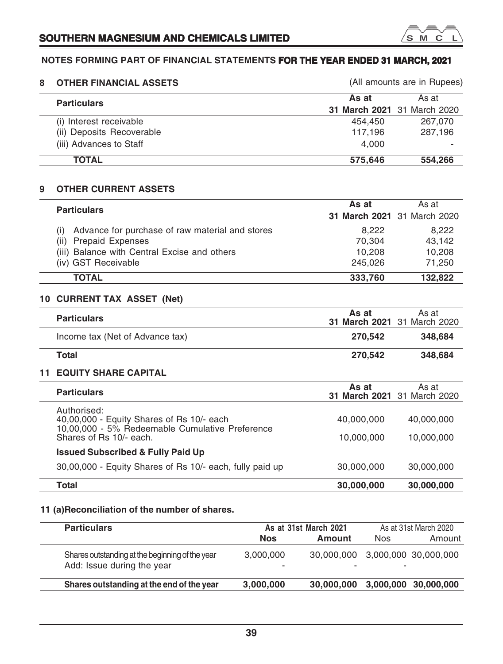# **NOTES FORMING PART OF FINANCIAL STATEMENTS FOR THE YEAR ENDED 31 MARCH, 2021**

 $^{\prime}$ s M  $\mathbb{C}$ 

| 8. | <b>OTHER FINANCIAL ASSETS</b> |                             | (All amounts are in Rupees) |
|----|-------------------------------|-----------------------------|-----------------------------|
|    | <b>Particulars</b>            | As at                       | As at                       |
|    |                               | 31 March 2021 31 March 2020 |                             |
|    | (i) Interest receivable       | 454.450                     | 267,070                     |
|    | (ii) Deposits Recoverable     | 117.196                     | 287,196                     |
|    | (iii) Advances to Staff       | 4.000                       |                             |
|    | <b>TOTAL</b>                  | 575.646                     | 554.266                     |

# **9 OTHER CURRENT ASSETS**

| <b>Particulars</b>                              | As at                       | As at   |
|-------------------------------------------------|-----------------------------|---------|
|                                                 | 31 March 2021 31 March 2020 |         |
| Advance for purchase of raw material and stores | 8.222                       | 8.222   |
| <b>Prepaid Expenses</b><br>(ii)                 | 70.304                      | 43.142  |
| (iii) Balance with Central Excise and others    | 10.208                      | 10.208  |
| (iv) GST Receivable                             | 245.026                     | 71.250  |
| <b>TOTAL</b>                                    | 333,760                     | 132.822 |

# **10 CURRENT TAX ASSET (Net)**

| <b>Particulars</b>              | As at<br>31 March 2021 31 March 2020 | As at   |
|---------------------------------|--------------------------------------|---------|
| Income tax (Net of Advance tax) | 270.542                              | 348.684 |
| Total                           | 270.542                              | 348,684 |

# **11 EQUITY SHARE CAPITAL**

| <b>Particulars</b>                                                                                                                     | As at<br>31 March 2021 31 March 2020 | As at                    |
|----------------------------------------------------------------------------------------------------------------------------------------|--------------------------------------|--------------------------|
| Authorised:<br>40,00,000 - Equity Shares of Rs 10/- each<br>10,00,000 - 5% Redeemable Cumulative Preference<br>Shares of Rs 10/- each. | 40,000,000<br>10,000,000             | 40,000,000<br>10,000,000 |
| <b>Issued Subscribed &amp; Fully Paid Up</b>                                                                                           |                                      |                          |
| 30,00,000 - Equity Shares of Rs 10/- each, fully paid up                                                                               | 30,000,000                           | 30,000,000               |
| Total                                                                                                                                  | 30,000,000                           | 30,000,000               |

# **11 (a)Reconciliation of the number of shares.**

| <b>Particulars</b>                                                            |                | As at 31st March 2021                                       |            | As at 31st March 2020 |
|-------------------------------------------------------------------------------|----------------|-------------------------------------------------------------|------------|-----------------------|
|                                                                               | <b>Nos</b>     | Amount                                                      | <b>Nos</b> | Amount                |
| Shares outstanding at the beginning of the year<br>Add: Issue during the year | 3.000.000<br>۰ | 30,000,000 3,000,000 30,000,000<br>$\overline{\phantom{a}}$ | -          |                       |
| Shares outstanding at the end of the year                                     | 3,000,000      | 30,000,000                                                  |            | 3,000,000 30,000,000  |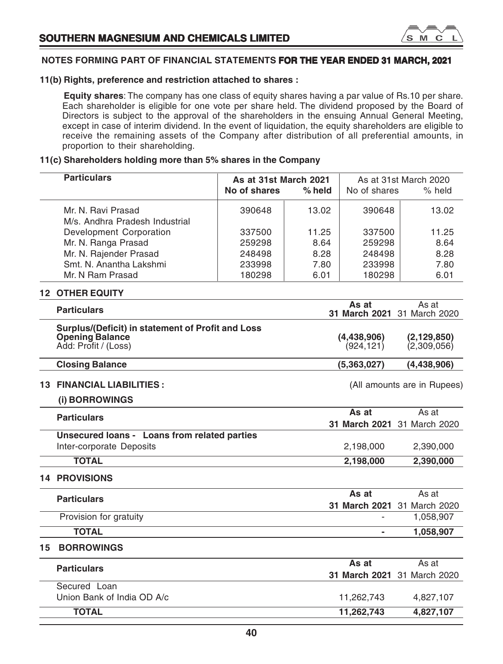

# **11(b) Rights, preference and restriction attached to shares :**

**Equity shares**: The company has one class of equity shares having a par value of Rs.10 per share. Each shareholder is eligible for one vote per share held. The dividend proposed by the Board of Directors is subject to the approval of the shareholders in the ensuing Annual General Meeting, except in case of interim dividend. In the event of liquidation, the equity shareholders are eligible to receive the remaining assets of the Company after distribution of all preferential amounts, in proportion to their shareholding.

# **11(c) Shareholders holding more than 5% shares in the Company**

|    | <b>Particulars</b><br>As at 31st March 2021<br>No of shares<br>% held                               |        | No of shares | As at 31st March 2020<br>% held |                                      |
|----|-----------------------------------------------------------------------------------------------------|--------|--------------|---------------------------------|--------------------------------------|
|    | Mr. N. Ravi Prasad                                                                                  | 390648 | 13.02        | 390648                          | 13.02                                |
|    | M/s. Andhra Pradesh Industrial                                                                      |        |              |                                 |                                      |
|    | Development Corporation                                                                             | 337500 | 11.25        | 337500                          | 11.25                                |
|    | Mr. N. Ranga Prasad                                                                                 | 259298 | 8.64         | 259298                          | 8.64                                 |
|    | Mr. N. Rajender Prasad                                                                              | 248498 | 8.28         | 248498                          | 8.28                                 |
|    | Smt. N. Anantha Lakshmi                                                                             | 233998 | 7.80         | 233998                          | 7.80                                 |
|    | Mr. N Ram Prasad                                                                                    | 180298 | 6.01         | 180298                          | 6.01                                 |
|    | <b>12 OTHER EQUITY</b>                                                                              |        |              |                                 |                                      |
|    | <b>Particulars</b>                                                                                  |        |              | As at                           | As at<br>31 March 2021 31 March 2020 |
|    | Surplus/(Deficit) in statement of Profit and Loss<br><b>Opening Balance</b><br>Add: Profit / (Loss) |        |              | (4,438,906)<br>(924, 121)       | (2, 129, 850)<br>(2,309,056)         |
|    | <b>Closing Balance</b>                                                                              |        |              | (5,363,027)                     | (4,438,906)                          |
|    | <b>13 FINANCIAL LIABILITIES:</b>                                                                    |        |              |                                 | (All amounts are in Rupees)          |
|    | (i) BORROWINGS                                                                                      |        |              |                                 |                                      |
|    | <b>Particulars</b>                                                                                  |        |              | As at                           | As at                                |
|    |                                                                                                     |        |              |                                 | 31 March 2021 31 March 2020          |
|    | Unsecured loans - Loans from related parties                                                        |        |              |                                 |                                      |
|    | Inter-corporate Deposits                                                                            |        |              | 2,198,000                       | 2,390,000                            |
|    | <b>TOTAL</b>                                                                                        |        |              | 2,198,000                       | 2,390,000                            |
|    | <b>14 PROVISIONS</b>                                                                                |        |              |                                 |                                      |
|    | <b>Particulars</b>                                                                                  |        |              | As at                           | As at                                |
|    |                                                                                                     |        |              |                                 | 31 March 2021 31 March 2020          |
|    | Provision for gratuity                                                                              |        |              |                                 | 1,058,907                            |
|    | <b>TOTAL</b>                                                                                        |        |              | $\blacksquare$                  | 1,058,907                            |
| 15 | <b>BORROWINGS</b>                                                                                   |        |              |                                 |                                      |
|    | <b>Particulars</b>                                                                                  |        |              | As at                           | As at                                |
|    |                                                                                                     |        |              |                                 | 31 March 2021 31 March 2020          |
|    | Secured Loan                                                                                        |        |              |                                 |                                      |
|    | Union Bank of India OD A/c                                                                          |        |              | 11,262,743                      | 4,827,107                            |
|    | <b>TOTAL</b>                                                                                        |        |              | 11,262,743                      | 4,827,107                            |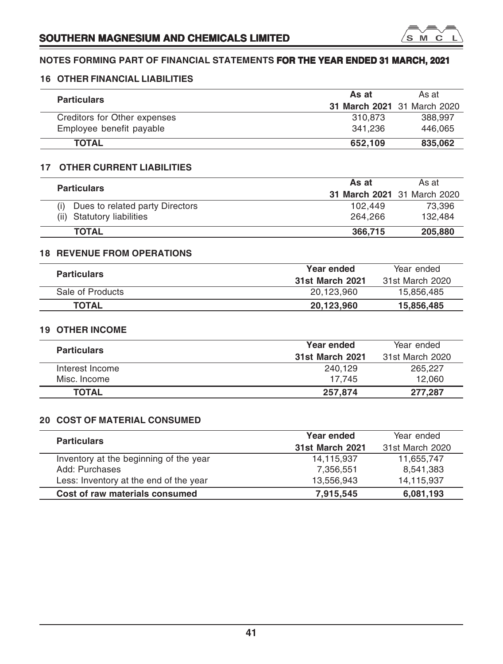

# **16 OTHER FINANCIAL LIABILITIES**

| <b>Particulars</b>           | As at                       | As at   |
|------------------------------|-----------------------------|---------|
|                              | 31 March 2021 31 March 2020 |         |
| Creditors for Other expenses | 310.873                     | 388,997 |
| Employee benefit payable     | 341.236                     | 446.065 |
| <b>TOTAL</b>                 | 652.109                     | 835,062 |

# **17 OTHER CURRENT LIABILITIES**

| <b>Particulars</b>              | As at                       | As at   |
|---------------------------------|-----------------------------|---------|
|                                 | 31 March 2021 31 March 2020 |         |
| Dues to related party Directors | 102.449                     | 73.396  |
| (ii) Statutory liabilities      | 264.266                     | 132.484 |
| <b>TOTAL</b>                    | 366,715                     | 205,880 |

# **18 REVENUE FROM OPERATIONS**

| <b>Particulars</b> | Year ended      |                 |
|--------------------|-----------------|-----------------|
|                    | 31st March 2021 | 31st March 2020 |
| Sale of Products   | 20.123.960      | 15.856.485      |
| <b>TOTAL</b>       | 20.123.960      | 15,856,485      |

# **19 OTHER INCOME**

 $\overline{\phantom{0}}$ 

| <b>Particulars</b> | Year ended      |                 |
|--------------------|-----------------|-----------------|
|                    | 31st March 2021 | 31st March 2020 |
| Interest Income    | 240.129         | 265,227         |
| Misc. Income       | 17.745          | 12.060          |
| <b>TOTAL</b>       | 257.874         | 277.287         |

# **20 COST OF MATERIAL CONSUMED**

| <b>Particulars</b>                     | Year ended             | Year ended      |
|----------------------------------------|------------------------|-----------------|
|                                        | <b>31st March 2021</b> | 31st March 2020 |
| Inventory at the beginning of the year | 14,115,937             | 11,655,747      |
| Add: Purchases                         | 7,356,551              | 8,541,383       |
| Less: Inventory at the end of the year | 13.556.943             | 14,115,937      |
| Cost of raw materials consumed         | 7.915.545              | 6,081,193       |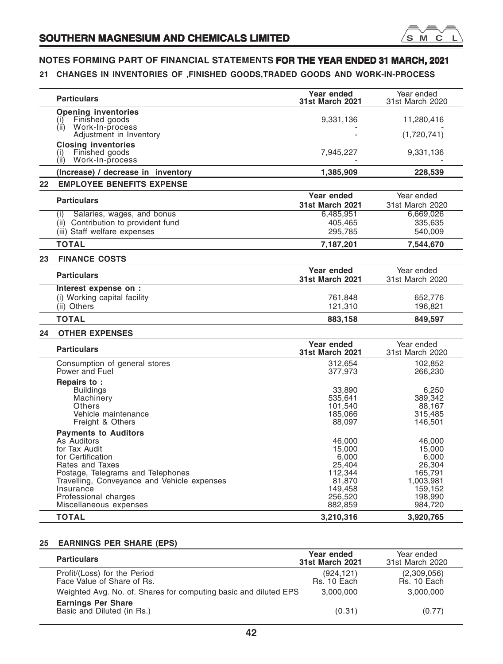

# **21 CHANGES IN INVENTORIES OF ,FINISHED GOODS,TRADED GOODS AND WORK-IN-PROCESS**

|                 | <b>Particulars</b>                                                                                                                                                                                                                                     | Year ended<br>31st March 2021                                                             | Year ended<br>31st March 2020                                                                |
|-----------------|--------------------------------------------------------------------------------------------------------------------------------------------------------------------------------------------------------------------------------------------------------|-------------------------------------------------------------------------------------------|----------------------------------------------------------------------------------------------|
|                 | <b>Opening inventories</b><br>Finished goods<br>(1)<br>(ii)<br>Work-In-process                                                                                                                                                                         | 9,331,136                                                                                 | 11,280,416                                                                                   |
|                 | Adjustment in Inventory                                                                                                                                                                                                                                |                                                                                           | (1,720,741)                                                                                  |
|                 | <b>Closing inventories</b><br>Finished goods<br>(i)<br>(ii)<br>Work-In-process                                                                                                                                                                         | 7,945,227                                                                                 | 9,331,136                                                                                    |
|                 | (Increase) / decrease in inventory                                                                                                                                                                                                                     | 1,385,909                                                                                 | 228,539                                                                                      |
| 22 <sub>2</sub> | <b>EMPLOYEE BENEFITS EXPENSE</b>                                                                                                                                                                                                                       |                                                                                           |                                                                                              |
|                 | <b>Particulars</b>                                                                                                                                                                                                                                     | Year ended<br><b>31st March 2021</b>                                                      | Year ended<br>31st March 2020                                                                |
|                 | Salaries, wages, and bonus<br>(i)                                                                                                                                                                                                                      | 6,485,951                                                                                 | 6,669,026                                                                                    |
|                 | (ii) Contribution to provident fund<br>(iii) Staff welfare expenses                                                                                                                                                                                    | 405.465<br>295,785                                                                        | 335.635<br>540,009                                                                           |
|                 | <b>TOTAL</b>                                                                                                                                                                                                                                           | 7,187,201                                                                                 | 7,544,670                                                                                    |
| 23              | <b>FINANCE COSTS</b>                                                                                                                                                                                                                                   |                                                                                           |                                                                                              |
|                 | <b>Particulars</b>                                                                                                                                                                                                                                     | Year ended<br><b>31st March 2021</b>                                                      | Year ended<br>31st March 2020                                                                |
|                 | Interest expense on :<br>(i) Working capital facility                                                                                                                                                                                                  | 761,848                                                                                   | 652,776                                                                                      |
|                 | (ii) Others                                                                                                                                                                                                                                            | 121,310                                                                                   | 196,821                                                                                      |
|                 | <b>TOTAL</b>                                                                                                                                                                                                                                           | 883,158                                                                                   | 849.597                                                                                      |
| 24              | <b>OTHER EXPENSES</b>                                                                                                                                                                                                                                  |                                                                                           |                                                                                              |
|                 | <b>Particulars</b>                                                                                                                                                                                                                                     | Year ended<br><b>31st March 2021</b>                                                      | Year ended<br>31st March 2020                                                                |
|                 | Consumption of general stores<br>Power and Fuel                                                                                                                                                                                                        | 312,654<br>377,973                                                                        | 102,852<br>266,230                                                                           |
|                 | Repairs to:<br><b>Buildings</b><br>Machinery<br>Others<br>Vehicle maintenance<br>Freight & Others                                                                                                                                                      | 33,890<br>535.641<br>101,540<br>185.066<br>88,097                                         | 6,250<br>389.342<br>88,167<br>315.485<br>146,501                                             |
|                 | <b>Payments to Auditors</b><br>As Auditors<br>for Tax Audit<br>for Certification<br>Rates and Taxes<br>Postage, Telegrams and Telephones<br>Travelling, Conveyance and Vehicle expenses<br>Insurance<br>Professional charges<br>Miscellaneous expenses | 46,000<br>15,000<br>6,000<br>25,404<br>112,344<br>81,870<br>149.458<br>256,520<br>882,859 | 46,000<br>15,000<br>6,000<br>26,304<br>165,791<br>1,003,981<br>159.152<br>198,990<br>984,720 |
|                 | <b>TOTAL</b>                                                                                                                                                                                                                                           | 3,210,316                                                                                 | 3,920,765                                                                                    |

# **25 EARNINGS PER SHARE (EPS)**

| <b>Particulars</b>                                               | Year ended<br><b>31st March 2021</b> | Year ended<br>31st March 2020 |
|------------------------------------------------------------------|--------------------------------------|-------------------------------|
| Profit/(Loss) for the Period<br>Face Value of Share of Rs.       | (924, 121)<br>Rs. 10 Each            | (2,309,056)<br>Rs. 10 Each    |
| Weighted Avg. No. of. Shares for computing basic and diluted EPS | 3.000.000                            | 3.000.000                     |
| <b>Earnings Per Share</b><br>Basic and Diluted (in Rs.)          | (0.31)                               | (0.77)                        |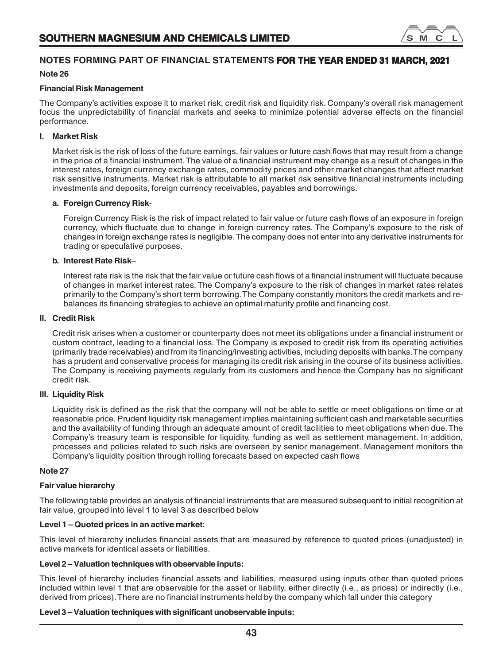

# **Financial Risk Management**

The Company's activities expose it to market risk, credit risk and liquidity risk. Company's overall risk management focus the unpredictability of financial markets and seeks to minimize potential adverse effects on the financial performance.

# **I. Market Risk**

Market risk is the risk of loss of the future earnings, fair values or future cash flows that may result from a change in the price of a financial instrument. The value of a financial instrument may change as a result of changes in the interest rates, foreign currency exchange rates, commodity prices and other market changes that affect market risk sensitive instruments. Market risk is attributable to all market risk sensitive financial instruments including investments and deposits, foreign currency receivables, payables and borrowings.

# **a. Foreign Currency Risk**-

Foreign Currency Risk is the risk of impact related to fair value or future cash flows of an exposure in foreign currency, which fluctuate due to change in foreign currency rates. The Company's exposure to the risk of changes in foreign exchange rates is negligible. The company does not enter into any derivative instruments for trading or speculative purposes.

# **b. Interest Rate Risk**–

Interest rate risk is the risk that the fair value or future cash flows of a financial instrument will fluctuate because of changes in market interest rates. The Company's exposure to the risk of changes in market rates relates primarily to the Company's short term borrowing. The Company constantly monitors the credit markets and rebalances its financing strategies to achieve an optimal maturity profile and financing cost.

# **II. Credit Risk**

Credit risk arises when a customer or counterparty does not meet its obligations under a financial instrument or custom contract, leading to a financial loss. The Company is exposed to credit risk from its operating activities (primarily trade receivables) and from its financing/investing activities, including deposits with banks. The company has a prudent and conservative process for managing its credit risk arising in the course of its business activities. The Company is receiving payments regularly from its customers and hence the Company has no significant credit risk.

# **III. Liquidity Risk**

Liquidity risk is defined as the risk that the company will not be able to settle or meet obligations on time or at reasonable price. Prudent liquidity risk management implies maintaining sufficient cash and marketable securities and the availability of funding through an adequate amount of credit facilities to meet obligations when due. The Company's treasury team is responsible for liquidity, funding as well as settlement management. In addition, processes and policies related to such risks are overseen by senior management. Management monitors the Company's liquidity position through rolling forecasts based on expected cash flows

# **Note 27**

# **Fair value hierarchy**

The following table provides an analysis of financial instruments that are measured subsequent to initial recognition at fair value, grouped into level 1 to level 3 as described below

# **Level 1 – Quoted prices in an active market**:

This level of hierarchy includes financial assets that are measured by reference to quoted prices (unadjusted) in active markets for identical assets or liabilities.

# **Level 2 – Valuation techniques with observable inputs:**

This level of hierarchy includes financial assets and liabilities, measured using inputs other than quoted prices included within level 1 that are observable for the asset or liability, either directly (i.e., as prices) or indirectly (i.e., derived from prices). There are no financial instruments held by the company which fall under this category

# **Level 3 – Valuation techniques with significant unobservable inputs:**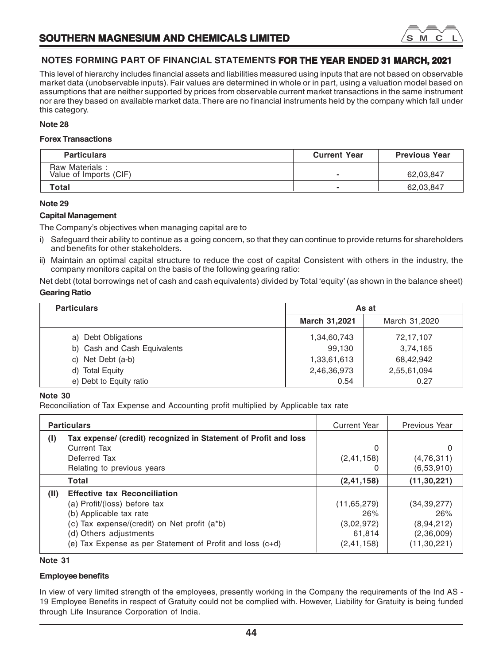

This level of hierarchy includes financial assets and liabilities measured using inputs that are not based on observable market data (unobservable inputs). Fair values are determined in whole or in part, using a valuation model based on assumptions that are neither supported by prices from observable current market transactions in the same instrument nor are they based on available market data. There are no financial instruments held by the company which fall under this category.

# **Note 28**

# **Forex Transactions**

| <b>Particulars</b>                       | <b>Current Year</b> | <b>Previous Year</b> |
|------------------------------------------|---------------------|----------------------|
| Raw Materials:<br>Value of Imports (CIF) | -                   | 62,03,847            |
| Total                                    |                     | 62,03,847            |

# **Note 29**

# **Capital Management**

The Company's objectives when managing capital are to

- i) Safeguard their ability to continue as a going concern, so that they can continue to provide returns for shareholders and benefits for other stakeholders.
- ii) Maintain an optimal capital structure to reduce the cost of capital Consistent with others in the industry, the company monitors capital on the basis of the following gearing ratio:

Net debt (total borrowings net of cash and cash equivalents) divided by Total 'equity' (as shown in the balance sheet) **Gearing Ratio**

| <b>Particulars</b>           | As at         |               |
|------------------------------|---------------|---------------|
|                              | March 31,2021 | March 31,2020 |
| a) Debt Obligations          | 1,34,60,743   | 72,17,107     |
| b) Cash and Cash Equivalents | 99.130        | 3,74,165      |
| c) Net Debt (a-b)            | 1,33,61,613   | 68,42,942     |
| d) Total Equity              | 2,46,36,973   | 2,55,61,094   |
| e) Debt to Equity ratio      | 0.54          | 0.27          |

# **Note 30**

Reconciliation of Tax Expense and Accounting profit multiplied by Applicable tax rate

|      | <b>Particulars</b>                                               |               | Previous Year |
|------|------------------------------------------------------------------|---------------|---------------|
| (1)  | Tax expense/ (credit) recognized in Statement of Profit and loss |               |               |
|      | Current Tax                                                      | 0             | O             |
|      | Deferred Tax                                                     | (2, 41, 158)  | (4,76,311)    |
|      | Relating to previous years                                       |               | (6,53,910)    |
|      | Total                                                            | (2, 41, 158)  | (11, 30, 221) |
| (II) | <b>Effective tax Reconciliation</b>                              |               |               |
|      | (a) Profit/(loss) before tax                                     | (11, 65, 279) | (34, 39, 277) |
|      | (b) Applicable tax rate                                          | 26%           | 26%           |
|      | (c) Tax expense/(credit) on Net profit (a*b)                     | (3,02,972)    | (8,94,212)    |
|      | (d) Others adjustments                                           | 61.814        | (2,36,009)    |
|      | (e) Tax Expense as per Statement of Profit and loss (c+d)        | (2, 41, 158)  | (11, 30, 221) |

# **Note 31**

# **Employee benefits**

In view of very limited strength of the employees, presently working in the Company the requirements of the Ind AS -19 Employee Benefits in respect of Gratuity could not be complied with. However, Liability for Gratuity is being funded through Life Insurance Corporation of India.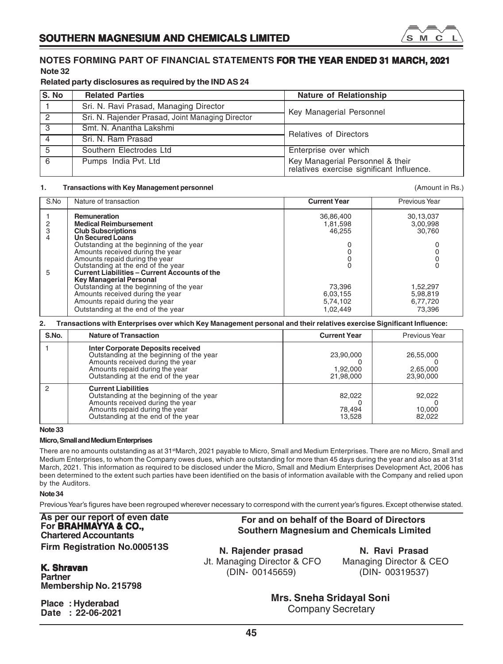

# **Related party disclosures as required by the IND AS 24**

| S. No          | <b>Related Parties</b>                           | Nature of Relationship                                                        |  |  |
|----------------|--------------------------------------------------|-------------------------------------------------------------------------------|--|--|
|                | Sri. N. Ravi Prasad, Managing Director           |                                                                               |  |  |
| $\mathcal{P}$  | Sri. N. Rajender Prasad, Joint Managing Director | Key Managerial Personnel                                                      |  |  |
| $\overline{3}$ | Smt. N. Anantha Lakshmi                          | <b>Relatives of Directors</b>                                                 |  |  |
|                | Sri, N. Ram Prasad                               |                                                                               |  |  |
| 5              | Southern Electrodes Ltd                          | Enterprise over which                                                         |  |  |
| 6              | Pumps India Pvt. Ltd                             | Key Managerial Personnel & their<br>relatives exercise significant Influence. |  |  |

### **1. Transactions with Key Management personnel** (Amount in Rs.)

### S.No Nature of transaction **Current Year** Previous Year Previous Year 1 **Remuneration** 36,86,400 30,13,037 2 **Medical Reimbursement** 1,81,598 1,81,598 3,00,998<br>3 **Club Subscriptions** 30.760 3 **Club Subscriptions**<br>4 **Din Secured Loans** 4 **Un Secured Loans** Outstanding at the beginning of the year  $\begin{array}{ccc} 0 & 0 \\ 0 & 0 \end{array}$ Amounts received during the year 0 0 Amounts repaid during the year 0 0 Outstanding at the end of the year 0 0 5 **Current Liabilities – Current Accounts of the Key Managerial Personal** Outstanding at the beginning of the year 73,396 1,52,297<br>Amounts received during the year 73,396 6,03,155 5,98,819 Amounts received during the year 6,03,155 6,03,155 5,98,819 5,98,819 5,98,819 5,98,819 6,03,155 5,98,819 Amounts repaid during the year  $\overline{6,74,102}$  6,77,720<br>Outstanding at the end of the year  $\overline{6,74,102}$  6,77,720 Outstanding at the end of the year

### **2. Transactions with Enterprises over which Key Management personal and their relatives exercise Significant Influence:**

| S.No. | <b>Nature of Transaction</b>                                                                                                                                                              | <b>Current Year</b>                | Previous Year                      |
|-------|-------------------------------------------------------------------------------------------------------------------------------------------------------------------------------------------|------------------------------------|------------------------------------|
|       | Inter Corporate Deposits received<br>Outstanding at the beginning of the year<br>Amounts received during the year<br>Amounts repaid during the year<br>Outstanding at the end of the year | 23,90,000<br>1.92.000<br>21,98,000 | 26,55,000<br>2,65,000<br>23,90,000 |
|       | <b>Current Liabilities</b><br>Outstanding at the beginning of the year<br>Amounts received during the year<br>Amounts repaid during the year<br>Outstanding at the end of the year        | 82,022<br>78,494<br>13.528         | 92,022<br>10,000<br>82,022         |

**Note 33**

# **Micro, Small and Medium Enterprises**

There are no amounts outstanding as at 31<sup>st</sup>March, 2021 payable to Micro, Small and Medium Enterprises. There are no Micro, Small and Medium Enterprises, to whom the Company owes dues, which are outstanding for more than 45 days during the year and also as at 31st March, 2021. This information as required to be disclosed under the Micro, Small and Medium Enterprises Development Act, 2006 has been determined to the extent such parties have been identified on the basis of information available with the Company and relied upon by the Auditors.

**Note 34**

Previous Year's figures have been regrouped wherever necessary to correspond with the current year's figures. Except otherwise stated.

**As per our report of even date For BRAHMAYYA & CO., Chartered Accountants Firm Registration No.000513S**

# **K. Shravan Partner**

**Membership No. 215798**

**Place : Hyderabad Date : 22-06-2021**

 **Southern Magnesium and Chemicals Limited N. Rajender prasad** Jt. Managing Director & CFO

**N. Ravi Prasad** Managing Director & CEO (DIN- 00319537)

**Mrs. Sneha Sridayal Soni** Company Secretary

**For and on behalf of the Board of Directors**

(DIN- 00145659)